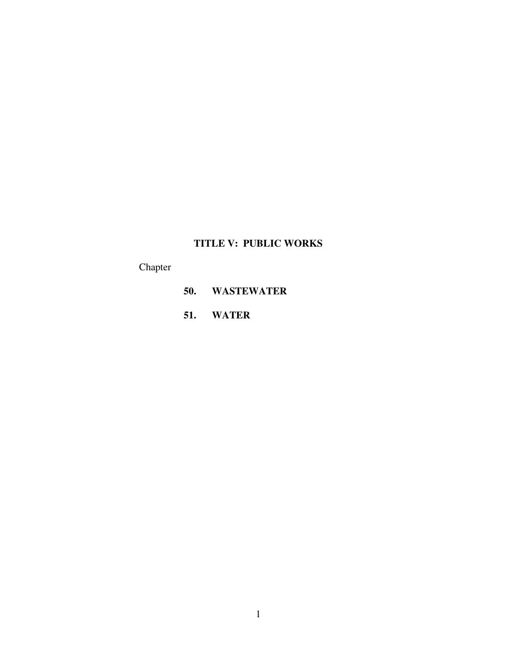# **TITLE V: PUBLIC WORKS**

Chapter

- **50. WASTEWATER**
- **51. WATER**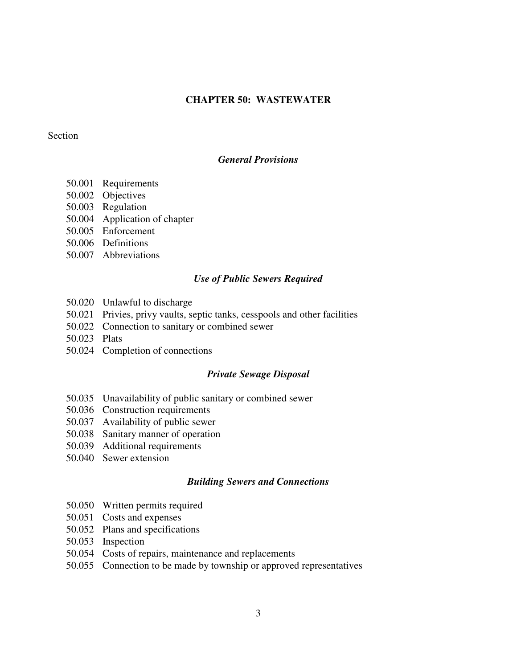# **CHAPTER 50: WASTEWATER**

### Section

# *General Provisions*

- 50.001 Requirements
- 50.002 Objectives
- 50.003 Regulation
- 50.004 Application of chapter
- 50.005 Enforcement
- 50.006 Definitions
- 50.007 Abbreviations

#### *Use of Public Sewers Required*

- 50.020 Unlawful to discharge
- 50.021 Privies, privy vaults, septic tanks, cesspools and other facilities
- 50.022 Connection to sanitary or combined sewer
- 50.023 Plats
- 50.024 Completion of connections

### *Private Sewage Disposal*

- 50.035 Unavailability of public sanitary or combined sewer
- 50.036 Construction requirements
- 50.037 Availability of public sewer
- 50.038 Sanitary manner of operation
- 50.039 Additional requirements
- 50.040 Sewer extension

### *Building Sewers and Connections*

- 50.050 Written permits required
- 50.051 Costs and expenses
- 50.052 Plans and specifications
- 50.053 Inspection
- 50.054 Costs of repairs, maintenance and replacements
- 50.055 Connection to be made by township or approved representatives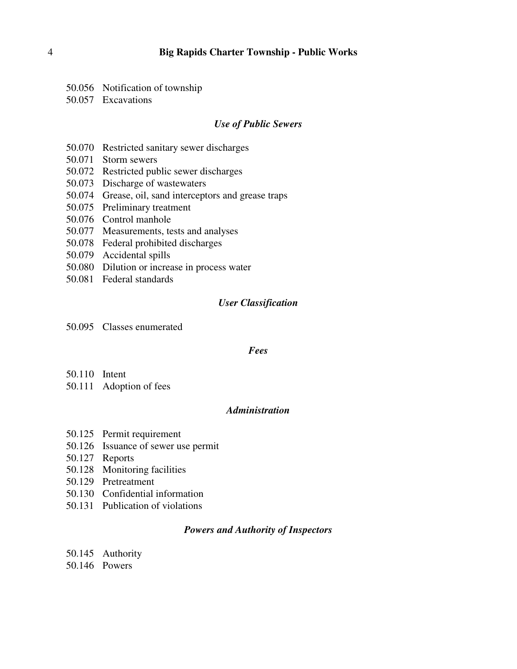- 50.056 Notification of township
- 50.057 Excavations

#### *Use of Public Sewers*

- 50.070 Restricted sanitary sewer discharges
- 50.071 Storm sewers
- 50.072 Restricted public sewer discharges
- 50.073 Discharge of wastewaters
- 50.074 Grease, oil, sand interceptors and grease traps
- 50.075 Preliminary treatment
- 50.076 Control manhole
- 50.077 Measurements, tests and analyses
- 50.078 Federal prohibited discharges
- 50.079 Accidental spills
- 50.080 Dilution or increase in process water
- 50.081 Federal standards

#### *User Classification*

50.095 Classes enumerated

#### *Fees*

- 50.110 Intent
- 50.111 Adoption of fees

# *Administration*

- 50.125 Permit requirement
- 50.126 Issuance of sewer use permit
- 50.127 Reports
- 50.128 Monitoring facilities
- 50.129 Pretreatment
- 50.130 Confidential information
- 50.131 Publication of violations

#### *Powers and Authority of Inspectors*

- 50.145 Authority
- 50.146 Powers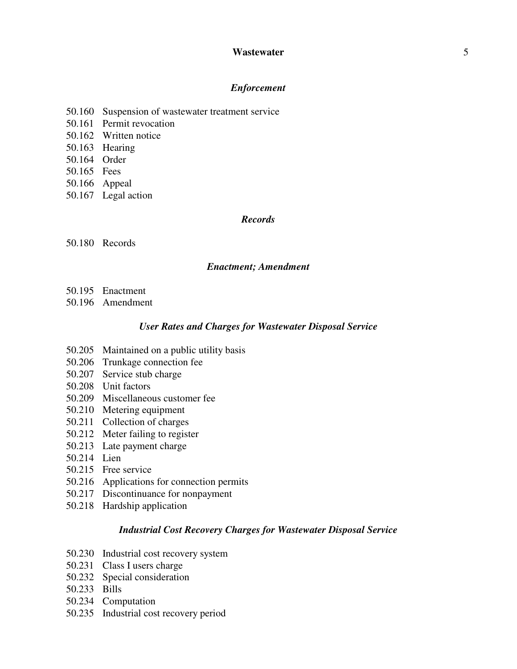### *Enforcement*

- 50.160 Suspension of wastewater treatment service
- 50.161 Permit revocation
- 50.162 Written notice
- 50.163 Hearing
- 50.164 Order
- 50.165 Fees
- 50.166 Appeal
- 50.167 Legal action

# *Records*

50.180 Records

### *Enactment; Amendment*

- 50.195 Enactment
- 50.196 Amendment

### *User Rates and Charges for Wastewater Disposal Service*

- 50.205 Maintained on a public utility basis
- 50.206 Trunkage connection fee
- 50.207 Service stub charge
- 50.208 Unit factors
- 50.209 Miscellaneous customer fee
- 50.210 Metering equipment
- 50.211 Collection of charges
- 50.212 Meter failing to register
- 50.213 Late payment charge
- 50.214 Lien
- 50.215 Free service
- 50.216 Applications for connection permits
- 50.217 Discontinuance for nonpayment
- 50.218 Hardship application

# *Industrial Cost Recovery Charges for Wastewater Disposal Service*

- 50.230 Industrial cost recovery system
- 50.231 Class I users charge
- 50.232 Special consideration
- 50.233 Bills
- 50.234 Computation
- 50.235 Industrial cost recovery period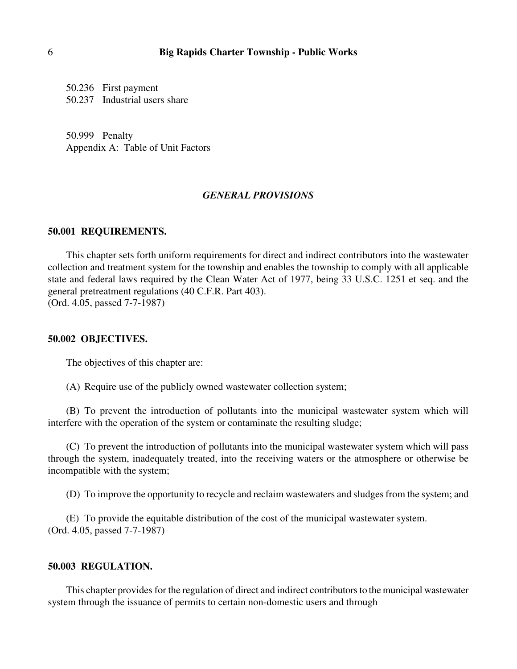50.236 First payment 50.237 Industrial users share

50.999 Penalty Appendix A: Table of Unit Factors

### *GENERAL PROVISIONS*

### **50.001 REQUIREMENTS.**

This chapter sets forth uniform requirements for direct and indirect contributors into the wastewater collection and treatment system for the township and enables the township to comply with all applicable state and federal laws required by the Clean Water Act of 1977, being 33 U.S.C. 1251 et seq. and the general pretreatment regulations (40 C.F.R. Part 403). (Ord. 4.05, passed 7-7-1987)

### **50.002 OBJECTIVES.**

The objectives of this chapter are:

(A) Require use of the publicly owned wastewater collection system;

(B) To prevent the introduction of pollutants into the municipal wastewater system which will interfere with the operation of the system or contaminate the resulting sludge;

(C) To prevent the introduction of pollutants into the municipal wastewater system which will pass through the system, inadequately treated, into the receiving waters or the atmosphere or otherwise be incompatible with the system;

(D) To improve the opportunity to recycle and reclaim wastewaters and sludges from the system; and

(E) To provide the equitable distribution of the cost of the municipal wastewater system. (Ord. 4.05, passed 7-7-1987)

### **50.003 REGULATION.**

This chapter provides for the regulation of direct and indirect contributors to the municipal wastewater system through the issuance of permits to certain non-domestic users and through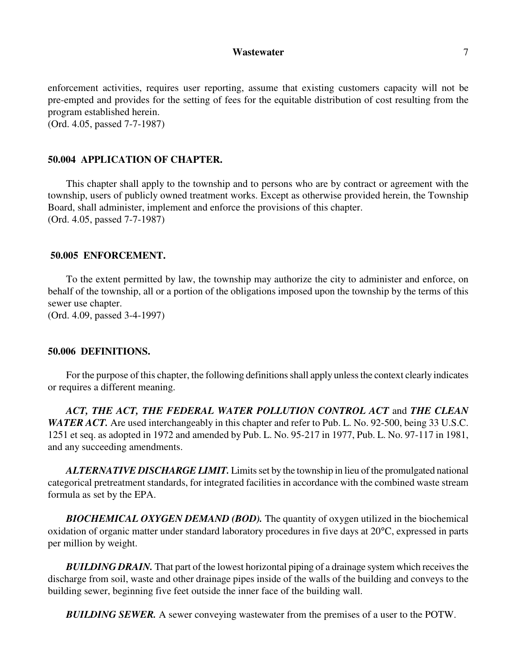enforcement activities, requires user reporting, assume that existing customers capacity will not be pre-empted and provides for the setting of fees for the equitable distribution of cost resulting from the program established herein. (Ord. 4.05, passed 7-7-1987)

### **50.004 APPLICATION OF CHAPTER.**

This chapter shall apply to the township and to persons who are by contract or agreement with the township, users of publicly owned treatment works. Except as otherwise provided herein, the Township Board, shall administer, implement and enforce the provisions of this chapter. (Ord. 4.05, passed 7-7-1987)

#### **50.005 ENFORCEMENT.**

To the extent permitted by law, the township may authorize the city to administer and enforce, on behalf of the township, all or a portion of the obligations imposed upon the township by the terms of this sewer use chapter.

(Ord. 4.09, passed 3-4-1997)

#### **50.006 DEFINITIONS.**

For the purpose of this chapter, the following definitions shall apply unless the context clearly indicates or requires a different meaning.

*ACT, THE ACT, THE FEDERAL WATER POLLUTION CONTROL ACT* and *THE CLEAN WATER ACT.* Are used interchangeably in this chapter and refer to Pub. L. No. 92-500, being 33 U.S.C. 1251 et seq. as adopted in 1972 and amended by Pub. L. No. 95-217 in 1977, Pub. L. No. 97-117 in 1981, and any succeeding amendments.

*ALTERNATIVE DISCHARGE LIMIT.* Limits set by the township in lieu of the promulgated national categorical pretreatment standards, for integrated facilities in accordance with the combined waste stream formula as set by the EPA.

*BIOCHEMICAL OXYGEN DEMAND (BOD).* The quantity of oxygen utilized in the biochemical oxidation of organic matter under standard laboratory procedures in five days at 20°C, expressed in parts per million by weight.

*BUILDING DRAIN.* That part of the lowest horizontal piping of a drainage system which receives the discharge from soil, waste and other drainage pipes inside of the walls of the building and conveys to the building sewer, beginning five feet outside the inner face of the building wall.

*BUILDING SEWER.* A sewer conveying wastewater from the premises of a user to the POTW.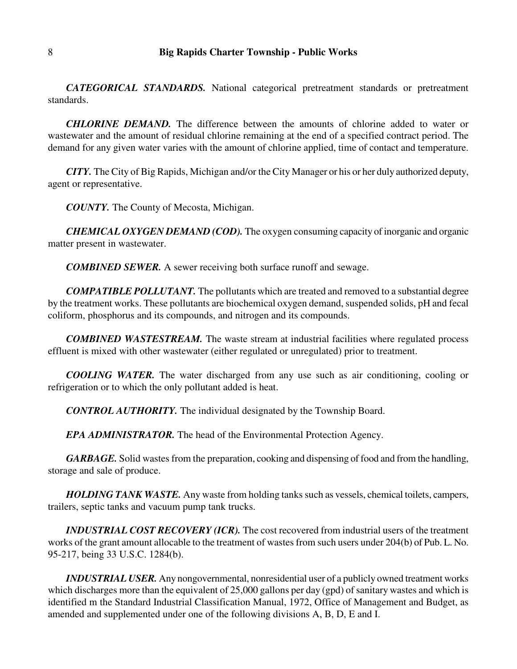*CATEGORICAL STANDARDS.* National categorical pretreatment standards or pretreatment standards.

*CHLORINE DEMAND.* The difference between the amounts of chlorine added to water or wastewater and the amount of residual chlorine remaining at the end of a specified contract period. The demand for any given water varies with the amount of chlorine applied, time of contact and temperature.

*CITY.* The City of Big Rapids, Michigan and/or the City Manager or his or her duly authorized deputy, agent or representative.

*COUNTY.* The County of Mecosta, Michigan.

*CHEMICAL OXYGEN DEMAND (COD).* The oxygen consuming capacity of inorganic and organic matter present in wastewater.

*COMBINED SEWER.* A sewer receiving both surface runoff and sewage.

*COMPATIBLE POLLUTANT.* The pollutants which are treated and removed to a substantial degree by the treatment works. These pollutants are biochemical oxygen demand, suspended solids, pH and fecal coliform, phosphorus and its compounds, and nitrogen and its compounds.

*COMBINED WASTESTREAM.* The waste stream at industrial facilities where regulated process effluent is mixed with other wastewater (either regulated or unregulated) prior to treatment.

*COOLING WATER.* The water discharged from any use such as air conditioning, cooling or refrigeration or to which the only pollutant added is heat.

*CONTROL AUTHORITY.* The individual designated by the Township Board.

*EPA ADMINISTRATOR.* The head of the Environmental Protection Agency.

*GARBAGE.* Solid wastes from the preparation, cooking and dispensing of food and from the handling, storage and sale of produce.

*HOLDING TANK WASTE.* Any waste from holding tanks such as vessels, chemical toilets, campers, trailers, septic tanks and vacuum pump tank trucks.

*INDUSTRIAL COST RECOVERY (ICR).* The cost recovered from industrial users of the treatment works of the grant amount allocable to the treatment of wastes from such users under 204(b) of Pub. L. No. 95-217, being 33 U.S.C. 1284(b).

*INDUSTRIAL USER.* Any nongovernmental, nonresidential user of a publicly owned treatment works which discharges more than the equivalent of 25,000 gallons per day (gpd) of sanitary wastes and which is identified m the Standard Industrial Classification Manual, 1972, Office of Management and Budget, as amended and supplemented under one of the following divisions A, B, D, E and I.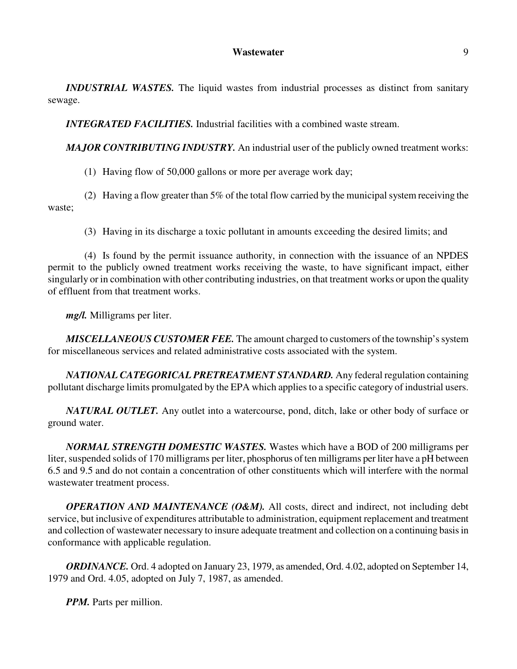*INDUSTRIAL WASTES.* The liquid wastes from industrial processes as distinct from sanitary sewage.

*INTEGRATED FACILITIES.* Industrial facilities with a combined waste stream.

*MAJOR CONTRIBUTING INDUSTRY*. An industrial user of the publicly owned treatment works:

(1) Having flow of 50,000 gallons or more per average work day;

(2) Having a flow greater than 5% of the total flow carried by the municipal system receiving the waste;

(3) Having in its discharge a toxic pollutant in amounts exceeding the desired limits; and

(4) Is found by the permit issuance authority, in connection with the issuance of an NPDES permit to the publicly owned treatment works receiving the waste, to have significant impact, either singularly or in combination with other contributing industries, on that treatment works or upon the quality of effluent from that treatment works.

*mg/l.* Milligrams per liter.

*MISCELLANEOUS CUSTOMER FEE.* The amount charged to customers of the township's system for miscellaneous services and related administrative costs associated with the system.

*NATIONAL CATEGORICAL PRETREATMENT STANDARD.* Any federal regulation containing pollutant discharge limits promulgated by the EPA which applies to a specific category of industrial users.

*NATURAL OUTLET.* Any outlet into a watercourse, pond, ditch, lake or other body of surface or ground water.

*NORMAL STRENGTH DOMESTIC WASTES.* Wastes which have a BOD of 200 milligrams per liter, suspended solids of 170 milligrams per liter, phosphorus of ten milligrams per liter have a pH between 6.5 and 9.5 and do not contain a concentration of other constituents which will interfere with the normal wastewater treatment process.

*OPERATION AND MAINTENANCE (O&M).* All costs, direct and indirect, not including debt service, but inclusive of expenditures attributable to administration, equipment replacement and treatment and collection of wastewater necessary to insure adequate treatment and collection on a continuing basis in conformance with applicable regulation.

*ORDINANCE.* Ord. 4 adopted on January 23, 1979, as amended, Ord. 4.02, adopted on September 14, 1979 and Ord. 4.05, adopted on July 7, 1987, as amended.

*PPM.* Parts per million.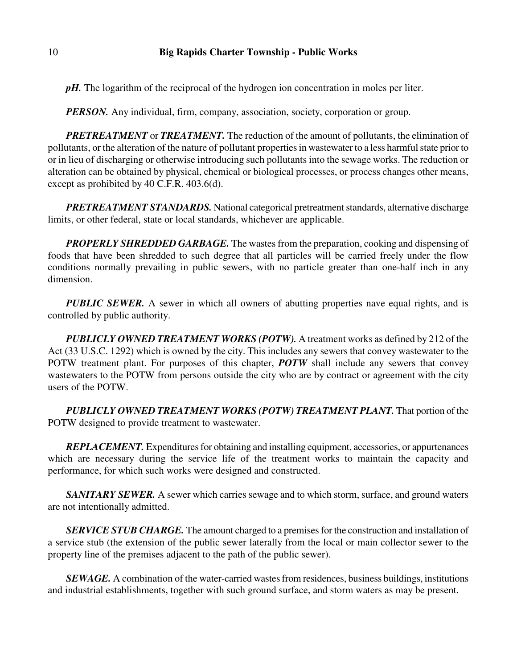*pH*. The logarithm of the reciprocal of the hydrogen ion concentration in moles per liter.

*PERSON*. Any individual, firm, company, association, society, corporation or group.

*PRETREATMENT* or *TREATMENT.* The reduction of the amount of pollutants, the elimination of pollutants, or the alteration of the nature of pollutant properties in wastewater to a less harmful state prior to or in lieu of discharging or otherwise introducing such pollutants into the sewage works. The reduction or alteration can be obtained by physical, chemical or biological processes, or process changes other means, except as prohibited by 40 C.F.R. 403.6(d).

*PRETREATMENT STANDARDS.* National categorical pretreatment standards, alternative discharge limits, or other federal, state or local standards, whichever are applicable.

*PROPERLY SHREDDED GARBAGE.* The wastes from the preparation, cooking and dispensing of foods that have been shredded to such degree that all particles will be carried freely under the flow conditions normally prevailing in public sewers, with no particle greater than one-half inch in any dimension.

*PUBLIC SEWER.* A sewer in which all owners of abutting properties nave equal rights, and is controlled by public authority.

*PUBLICLY OWNED TREATMENT WORKS (POTW).* A treatment works as defined by 212 of the Act (33 U.S.C. 1292) which is owned by the city. This includes any sewers that convey wastewater to the POTW treatment plant. For purposes of this chapter, *POTW* shall include any sewers that convey wastewaters to the POTW from persons outside the city who are by contract or agreement with the city users of the POTW.

*PUBLICLY OWNED TREATMENT WORKS (POTW) TREATMENT PLANT.* That portion of the POTW designed to provide treatment to wastewater.

*REPLACEMENT.* Expenditures for obtaining and installing equipment, accessories, or appurtenances which are necessary during the service life of the treatment works to maintain the capacity and performance, for which such works were designed and constructed.

*SANITARY SEWER.* A sewer which carries sewage and to which storm, surface, and ground waters are not intentionally admitted.

*SERVICE STUB CHARGE.* The amount charged to a premises for the construction and installation of a service stub (the extension of the public sewer laterally from the local or main collector sewer to the property line of the premises adjacent to the path of the public sewer).

*SEWAGE.* A combination of the water-carried wastes from residences, business buildings, institutions and industrial establishments, together with such ground surface, and storm waters as may be present.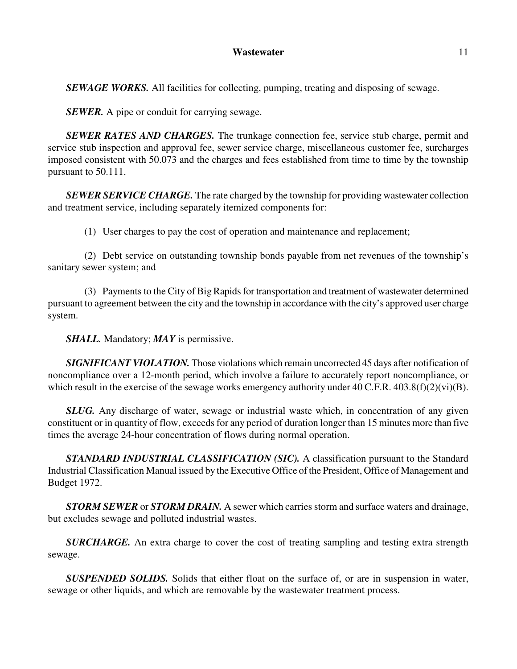**SEWAGE WORKS.** All facilities for collecting, pumping, treating and disposing of sewage.

*SEWER.* A pipe or conduit for carrying sewage.

*SEWER RATES AND CHARGES.* The trunkage connection fee, service stub charge, permit and service stub inspection and approval fee, sewer service charge, miscellaneous customer fee, surcharges imposed consistent with 50.073 and the charges and fees established from time to time by the township pursuant to 50.111.

*SEWER SERVICE CHARGE.* The rate charged by the township for providing wastewater collection and treatment service, including separately itemized components for:

(1) User charges to pay the cost of operation and maintenance and replacement;

(2) Debt service on outstanding township bonds payable from net revenues of the township's sanitary sewer system; and

(3) Payments to the City of Big Rapids for transportation and treatment of wastewater determined pursuant to agreement between the city and the township in accordance with the city's approved user charge system.

*SHALL.* Mandatory; *MAY* is permissive.

*SIGNIFICANT VIOLATION.* Those violations which remain uncorrected 45 days after notification of noncompliance over a 12-month period, which involve a failure to accurately report noncompliance, or which result in the exercise of the sewage works emergency authority under  $40$  C.F.R.  $403.8(f)(2)(vi)(B)$ .

*SLUG.* Any discharge of water, sewage or industrial waste which, in concentration of any given constituent or in quantity of flow, exceeds for any period of duration longer than 15 minutes more than five times the average 24-hour concentration of flows during normal operation.

*STANDARD INDUSTRIAL CLASSIFICATION (SIC).* A classification pursuant to the Standard Industrial Classification Manual issued by the Executive Office of the President, Office of Management and Budget 1972.

*STORM SEWER* or *STORM DRAIN.* A sewer which carries storm and surface waters and drainage, but excludes sewage and polluted industrial wastes.

*SURCHARGE.* An extra charge to cover the cost of treating sampling and testing extra strength sewage.

*SUSPENDED SOLIDS.* Solids that either float on the surface of, or are in suspension in water, sewage or other liquids, and which are removable by the wastewater treatment process.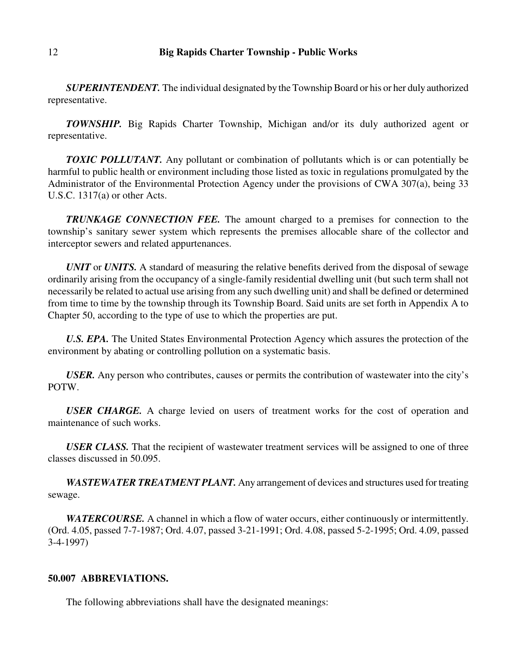*SUPERINTENDENT.* The individual designated by the Township Board or his or her duly authorized representative.

*TOWNSHIP.* Big Rapids Charter Township, Michigan and/or its duly authorized agent or representative.

*TOXIC POLLUTANT.* Any pollutant or combination of pollutants which is or can potentially be harmful to public health or environment including those listed as toxic in regulations promulgated by the Administrator of the Environmental Protection Agency under the provisions of CWA 307(a), being 33 U.S.C. 1317(a) or other Acts.

*TRUNKAGE CONNECTION FEE.* The amount charged to a premises for connection to the township's sanitary sewer system which represents the premises allocable share of the collector and interceptor sewers and related appurtenances.

*UNIT* or *UNITS.* A standard of measuring the relative benefits derived from the disposal of sewage ordinarily arising from the occupancy of a single-family residential dwelling unit (but such term shall not necessarily be related to actual use arising from any such dwelling unit) and shall be defined or determined from time to time by the township through its Township Board. Said units are set forth in Appendix A to Chapter 50, according to the type of use to which the properties are put.

*U.S. EPA.* The United States Environmental Protection Agency which assures the protection of the environment by abating or controlling pollution on a systematic basis.

*USER.* Any person who contributes, causes or permits the contribution of wastewater into the city's POTW.

*USER CHARGE.* A charge levied on users of treatment works for the cost of operation and maintenance of such works.

*USER CLASS.* That the recipient of wastewater treatment services will be assigned to one of three classes discussed in 50.095.

*WASTEWATER TREATMENT PLANT.* Any arrangement of devices and structures used for treating sewage.

*WATERCOURSE.* A channel in which a flow of water occurs, either continuously or intermittently. (Ord. 4.05, passed 7-7-1987; Ord. 4.07, passed 3-21-1991; Ord. 4.08, passed 5-2-1995; Ord. 4.09, passed 3-4-1997)

### **50.007 ABBREVIATIONS.**

The following abbreviations shall have the designated meanings: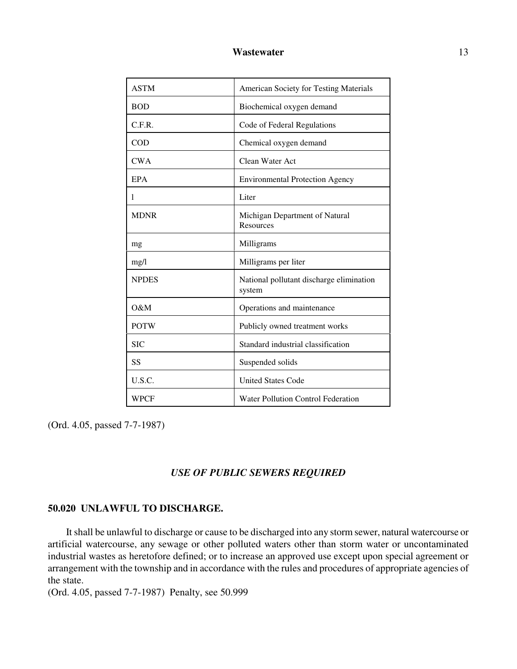| <b>ASTM</b>   | <b>American Society for Testing Materials</b>      |
|---------------|----------------------------------------------------|
| <b>BOD</b>    | Biochemical oxygen demand                          |
| C.F.R.        | Code of Federal Regulations                        |
| <b>COD</b>    | Chemical oxygen demand                             |
| <b>CWA</b>    | Clean Water Act                                    |
| <b>EPA</b>    | <b>Environmental Protection Agency</b>             |
| 1             | Liter                                              |
| <b>MDNR</b>   | Michigan Department of Natural<br><b>Resources</b> |
| mg            | Milligrams                                         |
| mg/l          | Milligrams per liter                               |
| <b>NPDES</b>  | National pollutant discharge elimination<br>system |
| $\Omega \& M$ | Operations and maintenance                         |
| <b>POTW</b>   | Publicly owned treatment works                     |
| <b>SIC</b>    | Standard industrial classification                 |
| SS            | Suspended solids                                   |
| U.S.C.        | <b>United States Code</b>                          |
| WPCF          | Water Pollution Control Federation                 |

(Ord. 4.05, passed 7-7-1987)

### *USE OF PUBLIC SEWERS REQUIRED*

# **50.020 UNLAWFUL TO DISCHARGE.**

It shall be unlawful to discharge or cause to be discharged into any storm sewer, natural watercourse or artificial watercourse, any sewage or other polluted waters other than storm water or uncontaminated industrial wastes as heretofore defined; or to increase an approved use except upon special agreement or arrangement with the township and in accordance with the rules and procedures of appropriate agencies of the state.

(Ord. 4.05, passed 7-7-1987) Penalty, see 50.999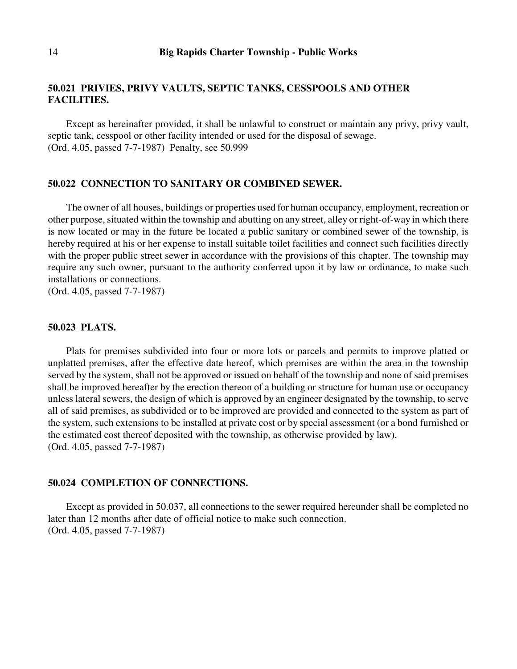# **50.021 PRIVIES, PRIVY VAULTS, SEPTIC TANKS, CESSPOOLS AND OTHER FACILITIES.**

Except as hereinafter provided, it shall be unlawful to construct or maintain any privy, privy vault, septic tank, cesspool or other facility intended or used for the disposal of sewage. (Ord. 4.05, passed 7-7-1987) Penalty, see 50.999

#### **50.022 CONNECTION TO SANITARY OR COMBINED SEWER.**

The owner of all houses, buildings or properties used for human occupancy, employment, recreation or other purpose, situated within the township and abutting on any street, alley or right-of-way in which there is now located or may in the future be located a public sanitary or combined sewer of the township, is hereby required at his or her expense to install suitable toilet facilities and connect such facilities directly with the proper public street sewer in accordance with the provisions of this chapter. The township may require any such owner, pursuant to the authority conferred upon it by law or ordinance, to make such installations or connections.

(Ord. 4.05, passed 7-7-1987)

# **50.023 PLATS.**

Plats for premises subdivided into four or more lots or parcels and permits to improve platted or unplatted premises, after the effective date hereof, which premises are within the area in the township served by the system, shall not be approved or issued on behalf of the township and none of said premises shall be improved hereafter by the erection thereon of a building or structure for human use or occupancy unless lateral sewers, the design of which is approved by an engineer designated by the township, to serve all of said premises, as subdivided or to be improved are provided and connected to the system as part of the system, such extensions to be installed at private cost or by special assessment (or a bond furnished or the estimated cost thereof deposited with the township, as otherwise provided by law). (Ord. 4.05, passed 7-7-1987)

### **50.024 COMPLETION OF CONNECTIONS.**

Except as provided in 50.037, all connections to the sewer required hereunder shall be completed no later than 12 months after date of official notice to make such connection. (Ord. 4.05, passed 7-7-1987)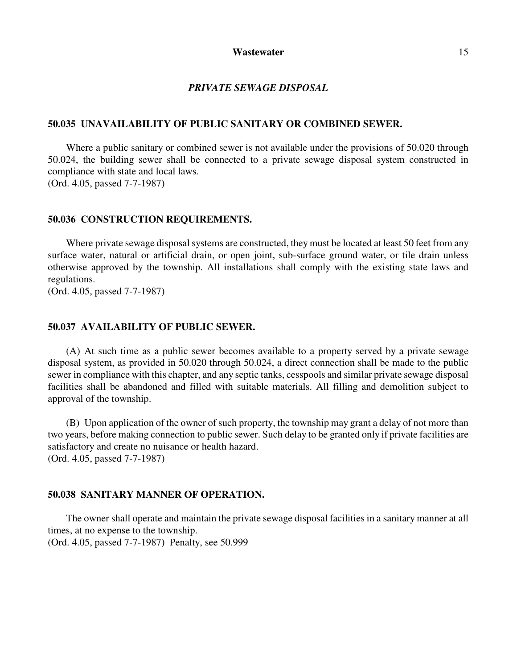### *PRIVATE SEWAGE DISPOSAL*

#### **50.035 UNAVAILABILITY OF PUBLIC SANITARY OR COMBINED SEWER.**

Where a public sanitary or combined sewer is not available under the provisions of 50.020 through 50.024, the building sewer shall be connected to a private sewage disposal system constructed in compliance with state and local laws. (Ord. 4.05, passed 7-7-1987)

# **50.036 CONSTRUCTION REQUIREMENTS.**

Where private sewage disposal systems are constructed, they must be located at least 50 feet from any surface water, natural or artificial drain, or open joint, sub-surface ground water, or tile drain unless otherwise approved by the township. All installations shall comply with the existing state laws and regulations.

(Ord. 4.05, passed 7-7-1987)

# **50.037 AVAILABILITY OF PUBLIC SEWER.**

(A) At such time as a public sewer becomes available to a property served by a private sewage disposal system, as provided in 50.020 through 50.024, a direct connection shall be made to the public sewer in compliance with this chapter, and any septic tanks, cesspools and similar private sewage disposal facilities shall be abandoned and filled with suitable materials. All filling and demolition subject to approval of the township.

(B) Upon application of the owner of such property, the township may grant a delay of not more than two years, before making connection to public sewer. Such delay to be granted only if private facilities are satisfactory and create no nuisance or health hazard. (Ord. 4.05, passed 7-7-1987)

# **50.038 SANITARY MANNER OF OPERATION.**

The owner shall operate and maintain the private sewage disposal facilities in a sanitary manner at all times, at no expense to the township. (Ord. 4.05, passed 7-7-1987) Penalty, see 50.999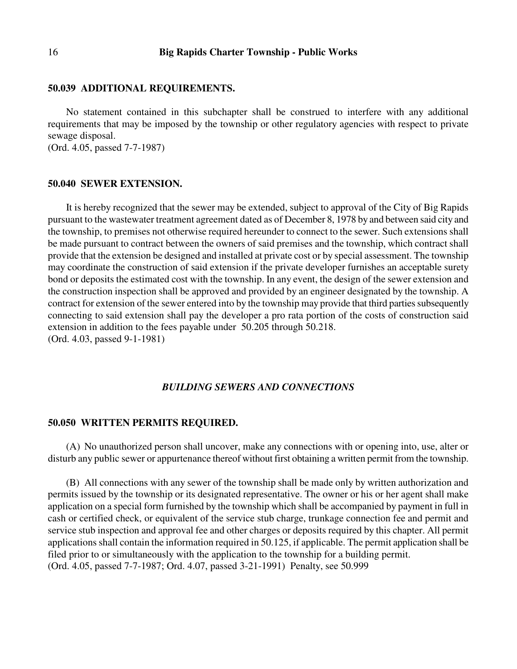#### **50.039 ADDITIONAL REQUIREMENTS.**

No statement contained in this subchapter shall be construed to interfere with any additional requirements that may be imposed by the township or other regulatory agencies with respect to private sewage disposal.

(Ord. 4.05, passed 7-7-1987)

#### **50.040 SEWER EXTENSION.**

It is hereby recognized that the sewer may be extended, subject to approval of the City of Big Rapids pursuant to the wastewater treatment agreement dated as of December 8, 1978 by and between said city and the township, to premises not otherwise required hereunder to connect to the sewer. Such extensions shall be made pursuant to contract between the owners of said premises and the township, which contract shall provide that the extension be designed and installed at private cost or by special assessment. The township may coordinate the construction of said extension if the private developer furnishes an acceptable surety bond or deposits the estimated cost with the township. In any event, the design of the sewer extension and the construction inspection shall be approved and provided by an engineer designated by the township. A contract for extension of the sewer entered into by the township may provide that third parties subsequently connecting to said extension shall pay the developer a pro rata portion of the costs of construction said extension in addition to the fees payable under 50.205 through 50.218. (Ord. 4.03, passed 9-1-1981)

#### *BUILDING SEWERS AND CONNECTIONS*

#### **50.050 WRITTEN PERMITS REQUIRED.**

(A) No unauthorized person shall uncover, make any connections with or opening into, use, alter or disturb any public sewer or appurtenance thereof without first obtaining a written permit from the township.

(B) All connections with any sewer of the township shall be made only by written authorization and permits issued by the township or its designated representative. The owner or his or her agent shall make application on a special form furnished by the township which shall be accompanied by payment in full in cash or certified check, or equivalent of the service stub charge, trunkage connection fee and permit and service stub inspection and approval fee and other charges or deposits required by this chapter. All permit applications shall contain the information required in 50.125, if applicable. The permit application shall be filed prior to or simultaneously with the application to the township for a building permit. (Ord. 4.05, passed 7-7-1987; Ord. 4.07, passed 3-21-1991) Penalty, see 50.999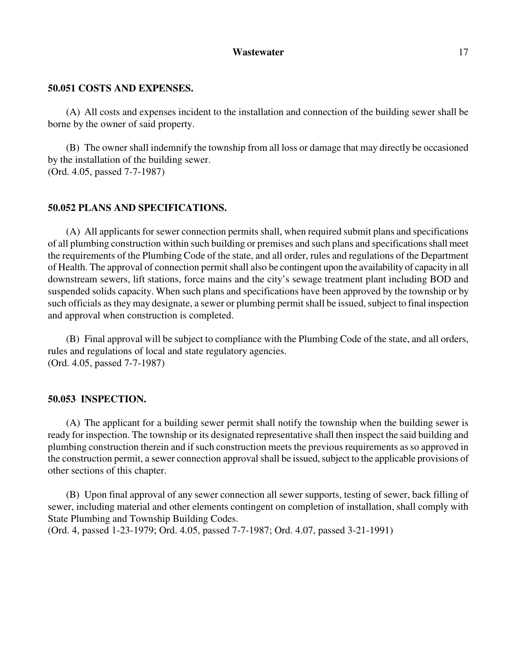### **50.051 COSTS AND EXPENSES.**

(A) All costs and expenses incident to the installation and connection of the building sewer shall be borne by the owner of said property.

(B) The owner shall indemnify the township from all loss or damage that may directly be occasioned by the installation of the building sewer. (Ord. 4.05, passed 7-7-1987)

### **50.052 PLANS AND SPECIFICATIONS.**

(A) All applicants for sewer connection permits shall, when required submit plans and specifications of all plumbing construction within such building or premises and such plans and specifications shall meet the requirements of the Plumbing Code of the state, and all order, rules and regulations of the Department of Health. The approval of connection permit shall also be contingent upon the availability of capacity in all downstream sewers, lift stations, force mains and the city's sewage treatment plant including BOD and suspended solids capacity. When such plans and specifications have been approved by the township or by such officials as they may designate, a sewer or plumbing permit shall be issued, subject to final inspection and approval when construction is completed.

(B) Final approval will be subject to compliance with the Plumbing Code of the state, and all orders, rules and regulations of local and state regulatory agencies. (Ord. 4.05, passed 7-7-1987)

### **50.053 INSPECTION.**

(A) The applicant for a building sewer permit shall notify the township when the building sewer is ready for inspection. The township or its designated representative shall then inspect the said building and plumbing construction therein and if such construction meets the previous requirements as so approved in the construction permit, a sewer connection approval shall be issued, subject to the applicable provisions of other sections of this chapter.

(B) Upon final approval of any sewer connection all sewer supports, testing of sewer, back filling of sewer, including material and other elements contingent on completion of installation, shall comply with State Plumbing and Township Building Codes.

(Ord. 4, passed 1-23-1979; Ord. 4.05, passed 7-7-1987; Ord. 4.07, passed 3-21-1991)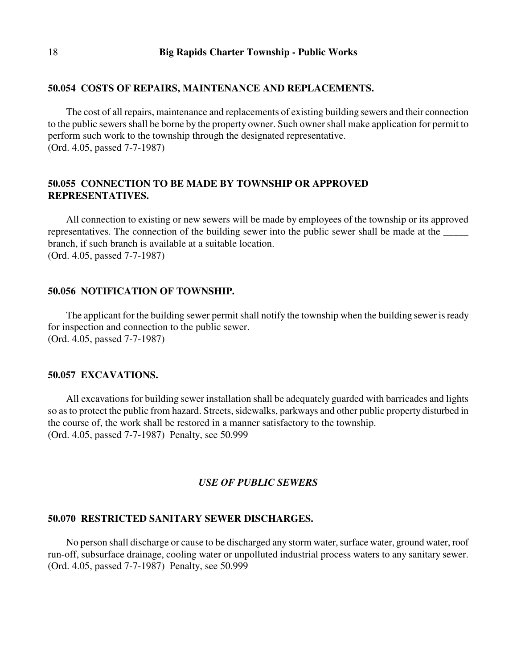#### **50.054 COSTS OF REPAIRS, MAINTENANCE AND REPLACEMENTS.**

The cost of all repairs, maintenance and replacements of existing building sewers and their connection to the public sewers shall be borne by the property owner. Such owner shall make application for permit to perform such work to the township through the designated representative. (Ord. 4.05, passed 7-7-1987)

# **50.055 CONNECTION TO BE MADE BY TOWNSHIP OR APPROVED REPRESENTATIVES.**

All connection to existing or new sewers will be made by employees of the township or its approved representatives. The connection of the building sewer into the public sewer shall be made at the \_\_\_\_\_\_\_ branch, if such branch is available at a suitable location. (Ord. 4.05, passed 7-7-1987)

### **50.056 NOTIFICATION OF TOWNSHIP.**

The applicant for the building sewer permit shall notify the township when the building sewer is ready for inspection and connection to the public sewer. (Ord. 4.05, passed 7-7-1987)

#### **50.057 EXCAVATIONS.**

All excavations for building sewer installation shall be adequately guarded with barricades and lights so as to protect the public from hazard. Streets, sidewalks, parkways and other public property disturbed in the course of, the work shall be restored in a manner satisfactory to the township. (Ord. 4.05, passed 7-7-1987) Penalty, see 50.999

### *USE OF PUBLIC SEWERS*

#### **50.070 RESTRICTED SANITARY SEWER DISCHARGES.**

No person shall discharge or cause to be discharged any storm water, surface water, ground water, roof run-off, subsurface drainage, cooling water or unpolluted industrial process waters to any sanitary sewer. (Ord. 4.05, passed 7-7-1987) Penalty, see 50.999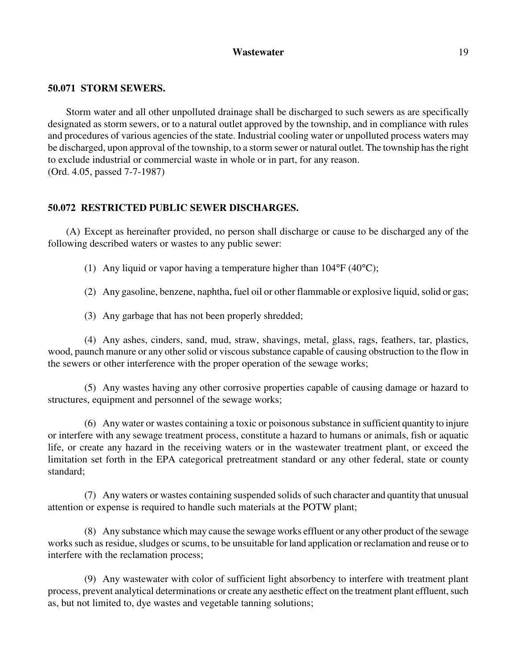### **50.071 STORM SEWERS.**

Storm water and all other unpolluted drainage shall be discharged to such sewers as are specifically designated as storm sewers, or to a natural outlet approved by the township, and in compliance with rules and procedures of various agencies of the state. Industrial cooling water or unpolluted process waters may be discharged, upon approval of the township, to a storm sewer or natural outlet. The township has the right to exclude industrial or commercial waste in whole or in part, for any reason. (Ord. 4.05, passed 7-7-1987)

# **50.072 RESTRICTED PUBLIC SEWER DISCHARGES.**

(A) Except as hereinafter provided, no person shall discharge or cause to be discharged any of the following described waters or wastes to any public sewer:

- (1) Any liquid or vapor having a temperature higher than  $104^{\circ}F(40^{\circ}C)$ ;
- (2) Any gasoline, benzene, naphtha, fuel oil or other flammable or explosive liquid, solid or gas;
- (3) Any garbage that has not been properly shredded;

(4) Any ashes, cinders, sand, mud, straw, shavings, metal, glass, rags, feathers, tar, plastics, wood, paunch manure or any other solid or viscous substance capable of causing obstruction to the flow in the sewers or other interference with the proper operation of the sewage works;

(5) Any wastes having any other corrosive properties capable of causing damage or hazard to structures, equipment and personnel of the sewage works;

(6) Any water or wastes containing a toxic or poisonous substance in sufficient quantity to injure or interfere with any sewage treatment process, constitute a hazard to humans or animals, fish or aquatic life, or create any hazard in the receiving waters or in the wastewater treatment plant, or exceed the limitation set forth in the EPA categorical pretreatment standard or any other federal, state or county standard;

(7) Any waters or wastes containing suspended solids of such character and quantity that unusual attention or expense is required to handle such materials at the POTW plant;

(8) Any substance which may cause the sewage works effluent or any other product of the sewage works such as residue, sludges or scums, to be unsuitable for land application or reclamation and reuse or to interfere with the reclamation process;

(9) Any wastewater with color of sufficient light absorbency to interfere with treatment plant process, prevent analytical determinations or create any aesthetic effect on the treatment plant effluent, such as, but not limited to, dye wastes and vegetable tanning solutions;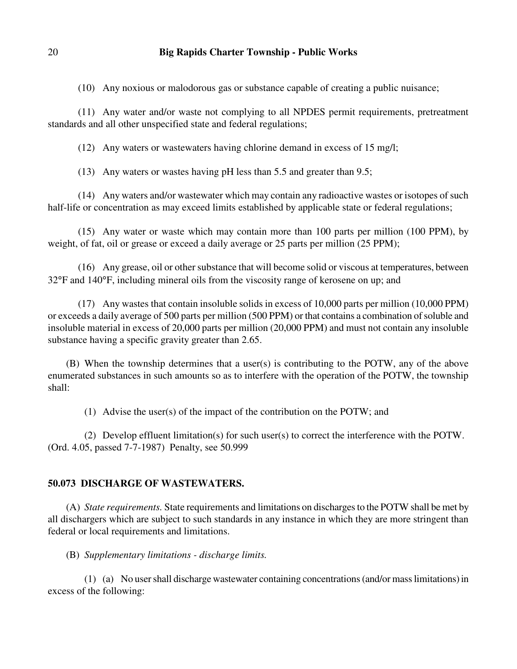(10) Any noxious or malodorous gas or substance capable of creating a public nuisance;

 (11) Any water and/or waste not complying to all NPDES permit requirements, pretreatment standards and all other unspecified state and federal regulations;

(12) Any waters or wastewaters having chlorine demand in excess of 15 mg/l;

(13) Any waters or wastes having pH less than 5.5 and greater than 9.5;

 (14) Any waters and/or wastewater which may contain any radioactive wastes or isotopes of such half-life or concentration as may exceed limits established by applicable state or federal regulations;

 (15) Any water or waste which may contain more than 100 parts per million (100 PPM), by weight, of fat, oil or grease or exceed a daily average or 25 parts per million (25 PPM);

 (16) Any grease, oil or other substance that will become solid or viscous at temperatures, between 32°F and 140°F, including mineral oils from the viscosity range of kerosene on up; and

 (17) Any wastes that contain insoluble solids in excess of 10,000 parts per million (10,000 PPM) or exceeds a daily average of 500 parts per million (500 PPM) or that contains a combination of soluble and insoluble material in excess of 20,000 parts per million (20,000 PPM) and must not contain any insoluble substance having a specific gravity greater than 2.65.

(B) When the township determines that a user(s) is contributing to the POTW, any of the above enumerated substances in such amounts so as to interfere with the operation of the POTW, the township shall:

(1) Advise the user(s) of the impact of the contribution on the POTW; and

(2) Develop effluent limitation(s) for such user(s) to correct the interference with the POTW. (Ord. 4.05, passed 7-7-1987) Penalty, see 50.999

### **50.073 DISCHARGE OF WASTEWATERS.**

(A) *State requirements.* State requirements and limitations on discharges to the POTW shall be met by all dischargers which are subject to such standards in any instance in which they are more stringent than federal or local requirements and limitations.

(B) *Supplementary limitations - discharge limits.*

(1) (a) No user shall discharge wastewater containing concentrations (and/or mass limitations) in excess of the following: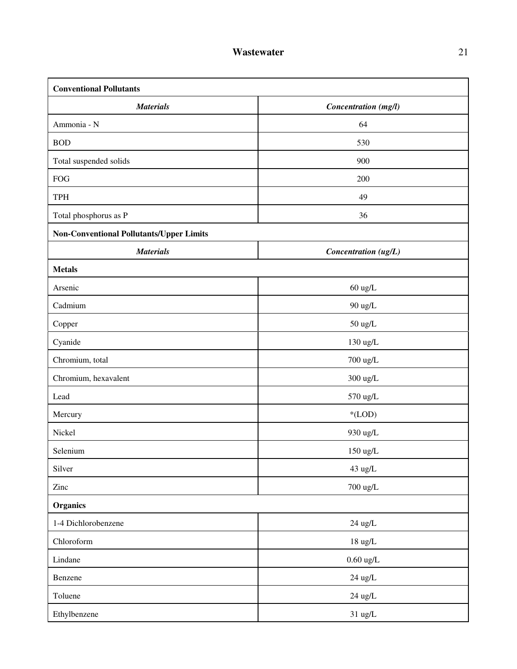| <b>Conventional Pollutants</b>                  |                       |  |
|-------------------------------------------------|-----------------------|--|
| <b>Materials</b>                                | Concentration (mg/l)  |  |
| Ammonia - N                                     | 64                    |  |
| <b>BOD</b>                                      | 530                   |  |
| Total suspended solids                          | 900                   |  |
| <b>FOG</b>                                      | 200                   |  |
| TPH                                             | 49                    |  |
| Total phosphorus as P                           | 36                    |  |
| <b>Non-Conventional Pollutants/Upper Limits</b> |                       |  |
| <b>Materials</b>                                | Concentration (ug/L)  |  |
| <b>Metals</b>                                   |                       |  |
| Arsenic                                         | $60 \text{ ug/L}$     |  |
| Cadmium                                         | 90 ug/L               |  |
| Copper                                          | $50 \text{ ug/L}$     |  |
| Cyanide                                         | $130 \mathrm{~ug/L}$  |  |
| Chromium, total                                 | 700 ug/L              |  |
| Chromium, hexavalent                            | $300$ ug/L            |  |
| Lead                                            | 570 ug/L              |  |
| Mercury                                         | $*(LOD)$              |  |
| Nickel                                          | 930 ug/L              |  |
| Selenium                                        | $150 \ \mathrm{ug/L}$ |  |
| Silver                                          | 43 ug/L               |  |
| Zinc                                            | $700 \ \mathrm{ug/L}$ |  |
| <b>Organics</b>                                 |                       |  |
| 1-4 Dichlorobenzene                             | $24 \mathrm{\; ug/L}$ |  |
| Chloroform                                      | $18 \ \mathrm{ug/L}$  |  |
| Lindane                                         | $0.60$ ug/L           |  |
| Benzene                                         | $24$ ug/L             |  |
| Toluene                                         | $24$ ug/L             |  |
| Ethylbenzene                                    | $31 \text{ ug/L}$     |  |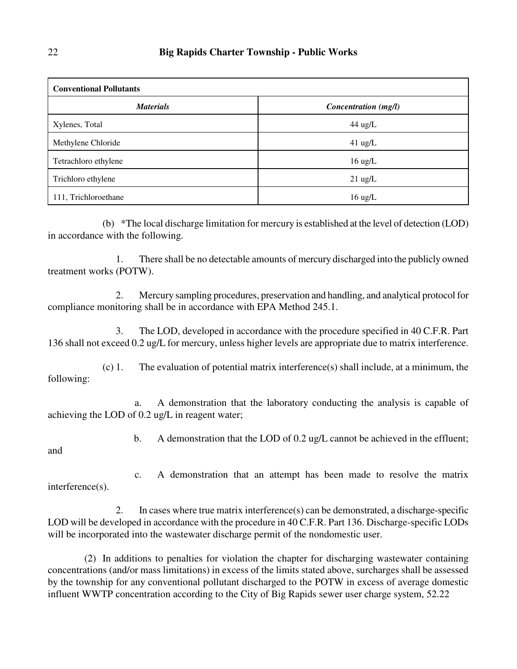| <b>Conventional Pollutants</b> |                      |  |
|--------------------------------|----------------------|--|
| <b>Materials</b>               | Concentration (mg/l) |  |
| Xylenes, Total                 | $44$ ug/L            |  |
| Methylene Chloride             | $41$ ug/L            |  |
| Tetrachloro ethylene           | $16 \text{ ug/L}$    |  |
| Trichloro ethylene             | $21 \text{ ug/L}$    |  |
| 111, Trichloroethane           | $16 \text{ ug/L}$    |  |

(b) \*The local discharge limitation for mercury is established at the level of detection (LOD) in accordance with the following.

 1. There shall be no detectable amounts of mercury discharged into the publicly owned treatment works (POTW).

 2. Mercury sampling procedures, preservation and handling, and analytical protocol for compliance monitoring shall be in accordance with EPA Method 245.1.

 3. The LOD, developed in accordance with the procedure specified in 40 C.F.R. Part 136 shall not exceed 0.2 ug/L for mercury, unless higher levels are appropriate due to matrix interference.

(c) 1. The evaluation of potential matrix interference(s) shall include, at a minimum, the following:

 a. A demonstration that the laboratory conducting the analysis is capable of achieving the LOD of 0.2 ug/L in reagent water;

b. A demonstration that the LOD of 0.2 ug/L cannot be achieved in the effluent;

and

 c. A demonstration that an attempt has been made to resolve the matrix interference(s).

 2. In cases where true matrix interference(s) can be demonstrated, a discharge-specific LOD will be developed in accordance with the procedure in 40 C.F.R. Part 136. Discharge-specific LODs will be incorporated into the wastewater discharge permit of the nondomestic user.

(2) In additions to penalties for violation the chapter for discharging wastewater containing concentrations (and/or mass limitations) in excess of the limits stated above, surcharges shall be assessed by the township for any conventional pollutant discharged to the POTW in excess of average domestic influent WWTP concentration according to the City of Big Rapids sewer user charge system, 52.22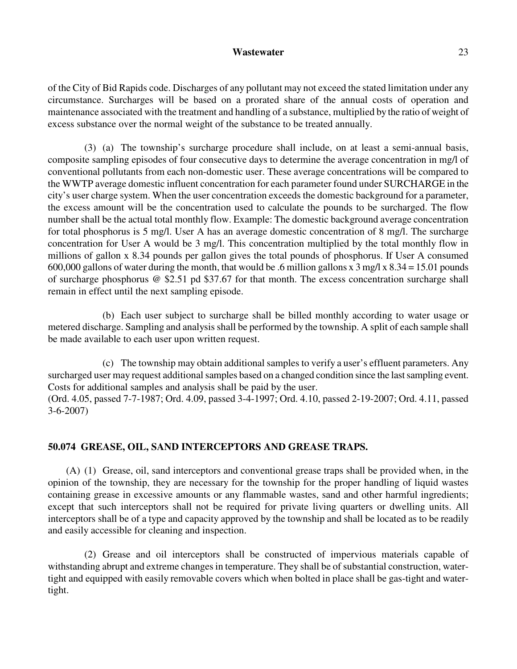of the City of Bid Rapids code. Discharges of any pollutant may not exceed the stated limitation under any circumstance. Surcharges will be based on a prorated share of the annual costs of operation and maintenance associated with the treatment and handling of a substance, multiplied by the ratio of weight of excess substance over the normal weight of the substance to be treated annually.

(3) (a) The township's surcharge procedure shall include, on at least a semi-annual basis, composite sampling episodes of four consecutive days to determine the average concentration in mg/l of conventional pollutants from each non-domestic user. These average concentrations will be compared to the WWTP average domestic influent concentration for each parameter found under SURCHARGE in the city's user charge system. When the user concentration exceeds the domestic background for a parameter, the excess amount will be the concentration used to calculate the pounds to be surcharged. The flow number shall be the actual total monthly flow. Example: The domestic background average concentration for total phosphorus is 5 mg/l. User A has an average domestic concentration of 8 mg/l. The surcharge concentration for User A would be 3 mg/l. This concentration multiplied by the total monthly flow in millions of gallon x 8.34 pounds per gallon gives the total pounds of phosphorus. If User A consumed 600,000 gallons of water during the month, that would be .6 million gallons x  $3 \text{ mg/l}$  x  $8.34 = 15.01$  pounds of surcharge phosphorus @ \$2.51 pd \$37.67 for that month. The excess concentration surcharge shall remain in effect until the next sampling episode.

(b) Each user subject to surcharge shall be billed monthly according to water usage or metered discharge. Sampling and analysis shall be performed by the township. A split of each sample shall be made available to each user upon written request.

(c) The township may obtain additional samples to verify a user's effluent parameters. Any surcharged user may request additional samples based on a changed condition since the last sampling event. Costs for additional samples and analysis shall be paid by the user.

(Ord. 4.05, passed 7-7-1987; Ord. 4.09, passed 3-4-1997; Ord. 4.10, passed 2-19-2007; Ord. 4.11, passed 3-6-2007)

# **50.074 GREASE, OIL, SAND INTERCEPTORS AND GREASE TRAPS.**

(A) (1) Grease, oil, sand interceptors and conventional grease traps shall be provided when, in the opinion of the township, they are necessary for the township for the proper handling of liquid wastes containing grease in excessive amounts or any flammable wastes, sand and other harmful ingredients; except that such interceptors shall not be required for private living quarters or dwelling units. All interceptors shall be of a type and capacity approved by the township and shall be located as to be readily and easily accessible for cleaning and inspection.

(2) Grease and oil interceptors shall be constructed of impervious materials capable of withstanding abrupt and extreme changes in temperature. They shall be of substantial construction, watertight and equipped with easily removable covers which when bolted in place shall be gas-tight and watertight.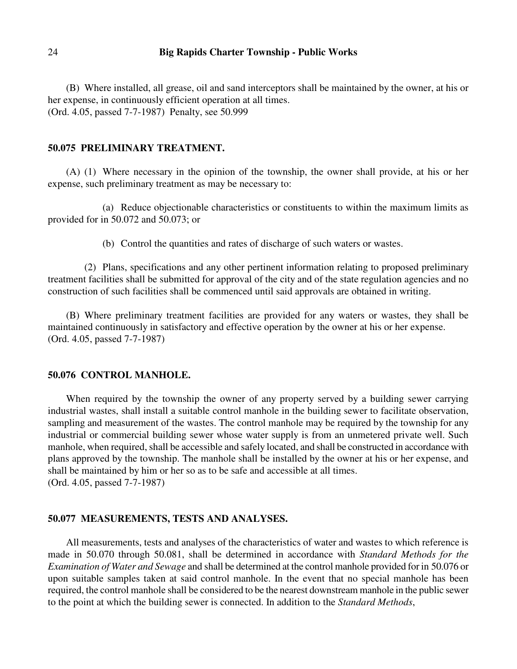(B) Where installed, all grease, oil and sand interceptors shall be maintained by the owner, at his or her expense, in continuously efficient operation at all times. (Ord. 4.05, passed 7-7-1987) Penalty, see 50.999

#### **50.075 PRELIMINARY TREATMENT.**

(A) (1) Where necessary in the opinion of the township, the owner shall provide, at his or her expense, such preliminary treatment as may be necessary to:

(a) Reduce objectionable characteristics or constituents to within the maximum limits as provided for in 50.072 and 50.073; or

(b) Control the quantities and rates of discharge of such waters or wastes.

(2) Plans, specifications and any other pertinent information relating to proposed preliminary treatment facilities shall be submitted for approval of the city and of the state regulation agencies and no construction of such facilities shall be commenced until said approvals are obtained in writing.

(B) Where preliminary treatment facilities are provided for any waters or wastes, they shall be maintained continuously in satisfactory and effective operation by the owner at his or her expense. (Ord. 4.05, passed 7-7-1987)

#### **50.076 CONTROL MANHOLE.**

When required by the township the owner of any property served by a building sewer carrying industrial wastes, shall install a suitable control manhole in the building sewer to facilitate observation, sampling and measurement of the wastes. The control manhole may be required by the township for any industrial or commercial building sewer whose water supply is from an unmetered private well. Such manhole, when required, shall be accessible and safely located, and shall be constructed in accordance with plans approved by the township. The manhole shall be installed by the owner at his or her expense, and shall be maintained by him or her so as to be safe and accessible at all times. (Ord. 4.05, passed 7-7-1987)

#### **50.077 MEASUREMENTS, TESTS AND ANALYSES.**

All measurements, tests and analyses of the characteristics of water and wastes to which reference is made in 50.070 through 50.081, shall be determined in accordance with *Standard Methods for the Examination of Water and Sewage* and shall be determined at the control manhole provided for in 50.076 or upon suitable samples taken at said control manhole. In the event that no special manhole has been required, the control manhole shall be considered to be the nearest downstream manhole in the public sewer to the point at which the building sewer is connected. In addition to the *Standard Methods*,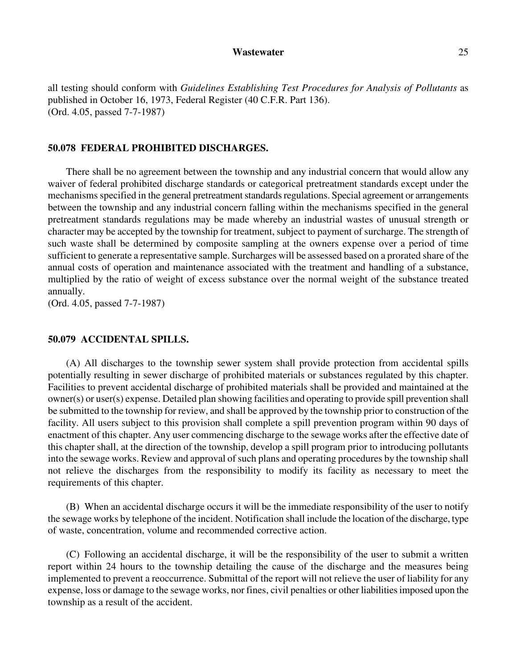all testing should conform with *Guidelines Establishing Test Procedures for Analysis of Pollutants* as published in October 16, 1973, Federal Register (40 C.F.R. Part 136). (Ord. 4.05, passed 7-7-1987)

# **50.078 FEDERAL PROHIBITED DISCHARGES.**

There shall be no agreement between the township and any industrial concern that would allow any waiver of federal prohibited discharge standards or categorical pretreatment standards except under the mechanisms specified in the general pretreatment standards regulations. Special agreement or arrangements between the township and any industrial concern falling within the mechanisms specified in the general pretreatment standards regulations may be made whereby an industrial wastes of unusual strength or character may be accepted by the township for treatment, subject to payment of surcharge. The strength of such waste shall be determined by composite sampling at the owners expense over a period of time sufficient to generate a representative sample. Surcharges will be assessed based on a prorated share of the annual costs of operation and maintenance associated with the treatment and handling of a substance, multiplied by the ratio of weight of excess substance over the normal weight of the substance treated annually.

(Ord. 4.05, passed 7-7-1987)

#### **50.079 ACCIDENTAL SPILLS.**

(A) All discharges to the township sewer system shall provide protection from accidental spills potentially resulting in sewer discharge of prohibited materials or substances regulated by this chapter. Facilities to prevent accidental discharge of prohibited materials shall be provided and maintained at the owner(s) or user(s) expense. Detailed plan showing facilities and operating to provide spill prevention shall be submitted to the township for review, and shall be approved by the township prior to construction of the facility. All users subject to this provision shall complete a spill prevention program within 90 days of enactment of this chapter. Any user commencing discharge to the sewage works after the effective date of this chapter shall, at the direction of the township, develop a spill program prior to introducing pollutants into the sewage works. Review and approval of such plans and operating procedures by the township shall not relieve the discharges from the responsibility to modify its facility as necessary to meet the requirements of this chapter.

(B) When an accidental discharge occurs it will be the immediate responsibility of the user to notify the sewage works by telephone of the incident. Notification shall include the location of the discharge, type of waste, concentration, volume and recommended corrective action.

(C) Following an accidental discharge, it will be the responsibility of the user to submit a written report within 24 hours to the township detailing the cause of the discharge and the measures being implemented to prevent a reoccurrence. Submittal of the report will not relieve the user of liability for any expense, loss or damage to the sewage works, nor fines, civil penalties or other liabilities imposed upon the township as a result of the accident.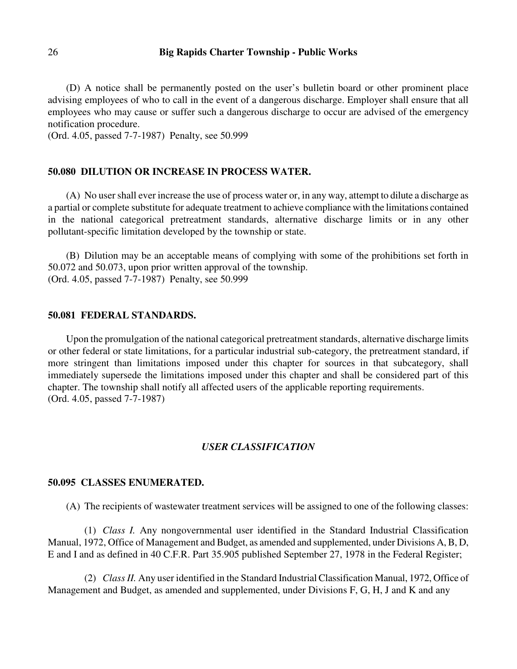(D) A notice shall be permanently posted on the user's bulletin board or other prominent place advising employees of who to call in the event of a dangerous discharge. Employer shall ensure that all employees who may cause or suffer such a dangerous discharge to occur are advised of the emergency notification procedure.

(Ord. 4.05, passed 7-7-1987) Penalty, see 50.999

#### **50.080 DILUTION OR INCREASE IN PROCESS WATER.**

(A) No user shall ever increase the use of process water or, in any way, attempt to dilute a discharge as a partial or complete substitute for adequate treatment to achieve compliance with the limitations contained in the national categorical pretreatment standards, alternative discharge limits or in any other pollutant-specific limitation developed by the township or state.

(B) Dilution may be an acceptable means of complying with some of the prohibitions set forth in 50.072 and 50.073, upon prior written approval of the township. (Ord. 4.05, passed 7-7-1987) Penalty, see 50.999

#### **50.081 FEDERAL STANDARDS.**

Upon the promulgation of the national categorical pretreatment standards, alternative discharge limits or other federal or state limitations, for a particular industrial sub-category, the pretreatment standard, if more stringent than limitations imposed under this chapter for sources in that subcategory, shall immediately supersede the limitations imposed under this chapter and shall be considered part of this chapter. The township shall notify all affected users of the applicable reporting requirements. (Ord. 4.05, passed 7-7-1987)

#### *USER CLASSIFICATION*

### **50.095 CLASSES ENUMERATED.**

(A) The recipients of wastewater treatment services will be assigned to one of the following classes:

(1) *Class I.* Any nongovernmental user identified in the Standard Industrial Classification Manual, 1972, Office of Management and Budget, as amended and supplemented, under Divisions A, B, D, E and I and as defined in 40 C.F.R. Part 35.905 published September 27, 1978 in the Federal Register;

(2) *Class II.* Any user identified in the Standard Industrial Classification Manual, 1972, Office of Management and Budget, as amended and supplemented, under Divisions F, G, H, J and K and any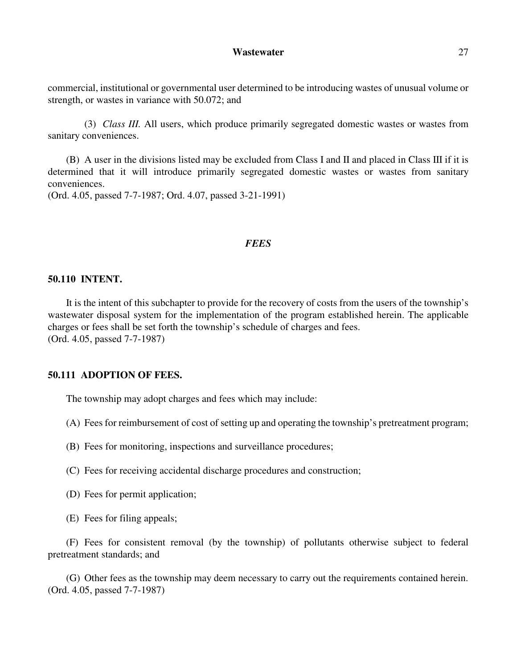commercial, institutional or governmental user determined to be introducing wastes of unusual volume or strength, or wastes in variance with 50.072; and

(3) *Class III.* All users, which produce primarily segregated domestic wastes or wastes from sanitary conveniences.

(B) A user in the divisions listed may be excluded from Class I and II and placed in Class III if it is determined that it will introduce primarily segregated domestic wastes or wastes from sanitary conveniences.

(Ord. 4.05, passed 7-7-1987; Ord. 4.07, passed 3-21-1991)

#### *FEES*

#### **50.110 INTENT.**

It is the intent of this subchapter to provide for the recovery of costs from the users of the township's wastewater disposal system for the implementation of the program established herein. The applicable charges or fees shall be set forth the township's schedule of charges and fees. (Ord. 4.05, passed 7-7-1987)

#### **50.111 ADOPTION OF FEES.**

The township may adopt charges and fees which may include:

- (A) Fees for reimbursement of cost of setting up and operating the township's pretreatment program;
- (B) Fees for monitoring, inspections and surveillance procedures;
- (C) Fees for receiving accidental discharge procedures and construction;
- (D) Fees for permit application;
- (E) Fees for filing appeals;

(F) Fees for consistent removal (by the township) of pollutants otherwise subject to federal pretreatment standards; and

(G) Other fees as the township may deem necessary to carry out the requirements contained herein. (Ord. 4.05, passed 7-7-1987)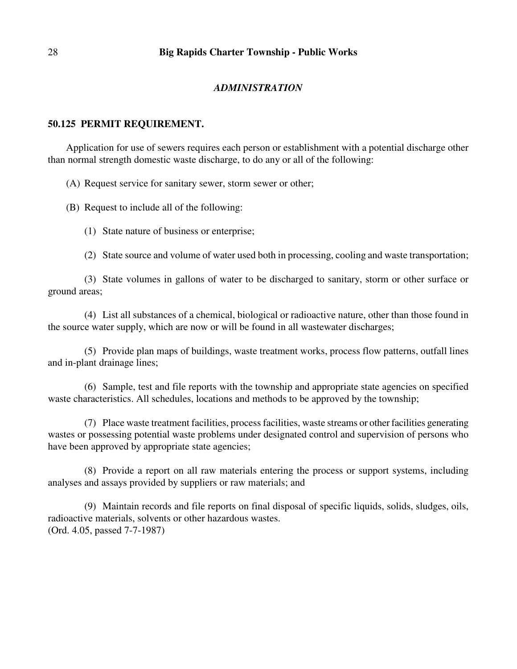#### *ADMINISTRATION*

#### **50.125 PERMIT REQUIREMENT.**

Application for use of sewers requires each person or establishment with a potential discharge other than normal strength domestic waste discharge, to do any or all of the following:

(A) Request service for sanitary sewer, storm sewer or other;

(B) Request to include all of the following:

(1) State nature of business or enterprise;

(2) State source and volume of water used both in processing, cooling and waste transportation;

(3) State volumes in gallons of water to be discharged to sanitary, storm or other surface or ground areas;

(4) List all substances of a chemical, biological or radioactive nature, other than those found in the source water supply, which are now or will be found in all wastewater discharges;

(5) Provide plan maps of buildings, waste treatment works, process flow patterns, outfall lines and in-plant drainage lines;

(6) Sample, test and file reports with the township and appropriate state agencies on specified waste characteristics. All schedules, locations and methods to be approved by the township;

(7) Place waste treatment facilities, process facilities, waste streams or other facilities generating wastes or possessing potential waste problems under designated control and supervision of persons who have been approved by appropriate state agencies;

(8) Provide a report on all raw materials entering the process or support systems, including analyses and assays provided by suppliers or raw materials; and

(9) Maintain records and file reports on final disposal of specific liquids, solids, sludges, oils, radioactive materials, solvents or other hazardous wastes. (Ord. 4.05, passed 7-7-1987)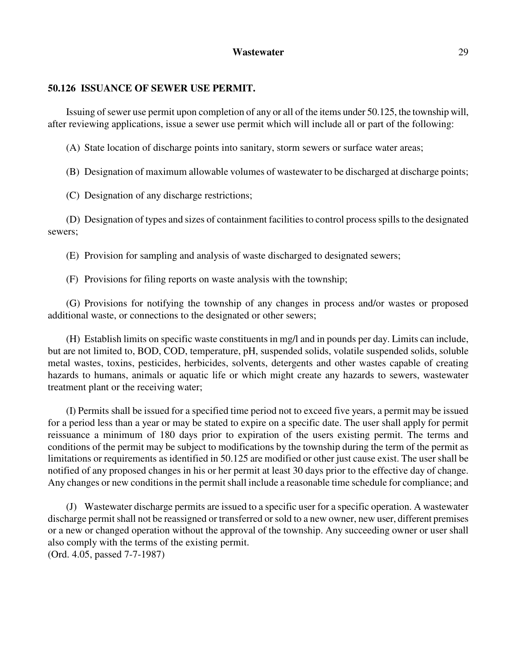### **50.126 ISSUANCE OF SEWER USE PERMIT.**

Issuing of sewer use permit upon completion of any or all of the items under 50.125, the township will, after reviewing applications, issue a sewer use permit which will include all or part of the following:

(A) State location of discharge points into sanitary, storm sewers or surface water areas;

(B) Designation of maximum allowable volumes of wastewater to be discharged at discharge points;

(C) Designation of any discharge restrictions;

(D) Designation of types and sizes of containment facilities to control process spills to the designated sewers;

(E) Provision for sampling and analysis of waste discharged to designated sewers;

(F) Provisions for filing reports on waste analysis with the township;

(G) Provisions for notifying the township of any changes in process and/or wastes or proposed additional waste, or connections to the designated or other sewers;

(H) Establish limits on specific waste constituents in mg/l and in pounds per day. Limits can include, but are not limited to, BOD, COD, temperature, pH, suspended solids, volatile suspended solids, soluble metal wastes, toxins, pesticides, herbicides, solvents, detergents and other wastes capable of creating hazards to humans, animals or aquatic life or which might create any hazards to sewers, wastewater treatment plant or the receiving water;

(I) Permits shall be issued for a specified time period not to exceed five years, a permit may be issued for a period less than a year or may be stated to expire on a specific date. The user shall apply for permit reissuance a minimum of 180 days prior to expiration of the users existing permit. The terms and conditions of the permit may be subject to modifications by the township during the term of the permit as limitations or requirements as identified in 50.125 are modified or other just cause exist. The user shall be notified of any proposed changes in his or her permit at least 30 days prior to the effective day of change. Any changes or new conditions in the permit shall include a reasonable time schedule for compliance; and

(J) Wastewater discharge permits are issued to a specific user for a specific operation. A wastewater discharge permit shall not be reassigned or transferred or sold to a new owner, new user, different premises or a new or changed operation without the approval of the township. Any succeeding owner or user shall also comply with the terms of the existing permit. (Ord. 4.05, passed 7-7-1987)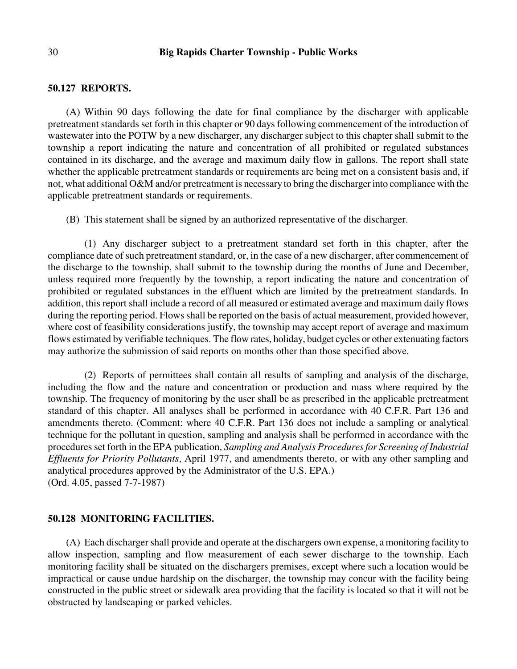# **50.127 REPORTS.**

(A) Within 90 days following the date for final compliance by the discharger with applicable pretreatment standards set forth in this chapter or 90 days following commencement of the introduction of wastewater into the POTW by a new discharger, any discharger subject to this chapter shall submit to the township a report indicating the nature and concentration of all prohibited or regulated substances contained in its discharge, and the average and maximum daily flow in gallons. The report shall state whether the applicable pretreatment standards or requirements are being met on a consistent basis and, if not, what additional O&M and/or pretreatment is necessary to bring the discharger into compliance with the applicable pretreatment standards or requirements.

(B) This statement shall be signed by an authorized representative of the discharger.

(1) Any discharger subject to a pretreatment standard set forth in this chapter, after the compliance date of such pretreatment standard, or, in the case of a new discharger, after commencement of the discharge to the township, shall submit to the township during the months of June and December, unless required more frequently by the township, a report indicating the nature and concentration of prohibited or regulated substances in the effluent which are limited by the pretreatment standards. In addition, this report shall include a record of all measured or estimated average and maximum daily flows during the reporting period. Flows shall be reported on the basis of actual measurement, provided however, where cost of feasibility considerations justify, the township may accept report of average and maximum flows estimated by verifiable techniques. The flow rates, holiday, budget cycles or other extenuating factors may authorize the submission of said reports on months other than those specified above.

(2) Reports of permittees shall contain all results of sampling and analysis of the discharge, including the flow and the nature and concentration or production and mass where required by the township. The frequency of monitoring by the user shall be as prescribed in the applicable pretreatment standard of this chapter. All analyses shall be performed in accordance with 40 C.F.R. Part 136 and amendments thereto. (Comment: where 40 C.F.R. Part 136 does not include a sampling or analytical technique for the pollutant in question, sampling and analysis shall be performed in accordance with the procedures set forth in the EPA publication, *Sampling and Analysis Procedures for Screening of Industrial Effluents for Priority Pollutants*, April 1977, and amendments thereto, or with any other sampling and analytical procedures approved by the Administrator of the U.S. EPA.) (Ord. 4.05, passed 7-7-1987)

#### **50.128 MONITORING FACILITIES.**

(A) Each discharger shall provide and operate at the dischargers own expense, a monitoring facility to allow inspection, sampling and flow measurement of each sewer discharge to the township. Each monitoring facility shall be situated on the dischargers premises, except where such a location would be impractical or cause undue hardship on the discharger, the township may concur with the facility being constructed in the public street or sidewalk area providing that the facility is located so that it will not be obstructed by landscaping or parked vehicles.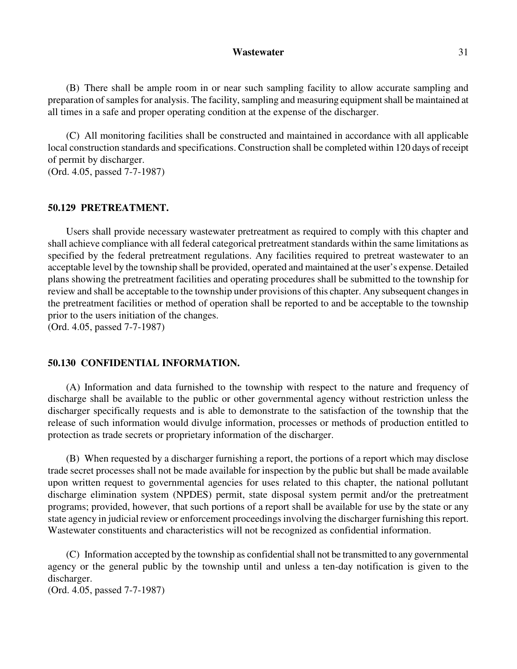(B) There shall be ample room in or near such sampling facility to allow accurate sampling and preparation of samples for analysis. The facility, sampling and measuring equipment shall be maintained at all times in a safe and proper operating condition at the expense of the discharger.

(C) All monitoring facilities shall be constructed and maintained in accordance with all applicable local construction standards and specifications. Construction shall be completed within 120 days of receipt of permit by discharger.

(Ord. 4.05, passed 7-7-1987)

#### **50.129 PRETREATMENT.**

Users shall provide necessary wastewater pretreatment as required to comply with this chapter and shall achieve compliance with all federal categorical pretreatment standards within the same limitations as specified by the federal pretreatment regulations. Any facilities required to pretreat wastewater to an acceptable level by the township shall be provided, operated and maintained at the user's expense. Detailed plans showing the pretreatment facilities and operating procedures shall be submitted to the township for review and shall be acceptable to the township under provisions of this chapter. Any subsequent changes in the pretreatment facilities or method of operation shall be reported to and be acceptable to the township prior to the users initiation of the changes.

(Ord. 4.05, passed 7-7-1987)

### **50.130 CONFIDENTIAL INFORMATION.**

(A) Information and data furnished to the township with respect to the nature and frequency of discharge shall be available to the public or other governmental agency without restriction unless the discharger specifically requests and is able to demonstrate to the satisfaction of the township that the release of such information would divulge information, processes or methods of production entitled to protection as trade secrets or proprietary information of the discharger.

(B) When requested by a discharger furnishing a report, the portions of a report which may disclose trade secret processes shall not be made available for inspection by the public but shall be made available upon written request to governmental agencies for uses related to this chapter, the national pollutant discharge elimination system (NPDES) permit, state disposal system permit and/or the pretreatment programs; provided, however, that such portions of a report shall be available for use by the state or any state agency in judicial review or enforcement proceedings involving the discharger furnishing this report. Wastewater constituents and characteristics will not be recognized as confidential information.

(C) Information accepted by the township as confidential shall not be transmitted to any governmental agency or the general public by the township until and unless a ten-day notification is given to the discharger.

(Ord. 4.05, passed 7-7-1987)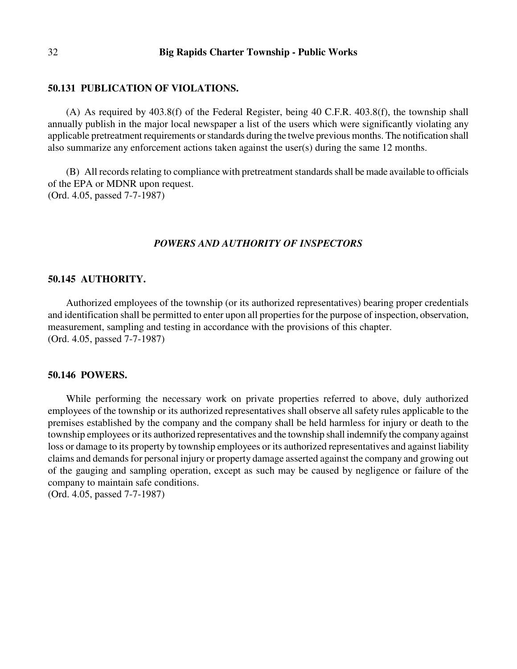#### **50.131 PUBLICATION OF VIOLATIONS.**

(A) As required by 403.8(f) of the Federal Register, being 40 C.F.R. 403.8(f), the township shall annually publish in the major local newspaper a list of the users which were significantly violating any applicable pretreatment requirements or standards during the twelve previous months. The notification shall also summarize any enforcement actions taken against the user(s) during the same 12 months.

(B) All records relating to compliance with pretreatment standards shall be made available to officials of the EPA or MDNR upon request. (Ord. 4.05, passed 7-7-1987)

### *POWERS AND AUTHORITY OF INSPECTORS*

### **50.145 AUTHORITY.**

Authorized employees of the township (or its authorized representatives) bearing proper credentials and identification shall be permitted to enter upon all properties for the purpose of inspection, observation, measurement, sampling and testing in accordance with the provisions of this chapter. (Ord. 4.05, passed 7-7-1987)

#### **50.146 POWERS.**

While performing the necessary work on private properties referred to above, duly authorized employees of the township or its authorized representatives shall observe all safety rules applicable to the premises established by the company and the company shall be held harmless for injury or death to the township employees or its authorized representatives and the township shall indemnify the company against loss or damage to its property by township employees or its authorized representatives and against liability claims and demands for personal injury or property damage asserted against the company and growing out of the gauging and sampling operation, except as such may be caused by negligence or failure of the company to maintain safe conditions.

(Ord. 4.05, passed 7-7-1987)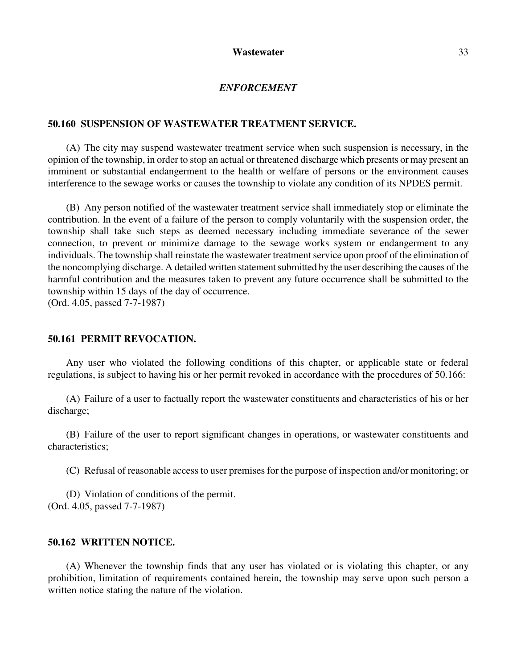### *ENFORCEMENT*

#### **50.160 SUSPENSION OF WASTEWATER TREATMENT SERVICE.**

(A) The city may suspend wastewater treatment service when such suspension is necessary, in the opinion of the township, in order to stop an actual or threatened discharge which presents or may present an imminent or substantial endangerment to the health or welfare of persons or the environment causes interference to the sewage works or causes the township to violate any condition of its NPDES permit.

(B) Any person notified of the wastewater treatment service shall immediately stop or eliminate the contribution. In the event of a failure of the person to comply voluntarily with the suspension order, the township shall take such steps as deemed necessary including immediate severance of the sewer connection, to prevent or minimize damage to the sewage works system or endangerment to any individuals. The township shall reinstate the wastewater treatment service upon proof of the elimination of the noncomplying discharge. A detailed written statement submitted by the user describing the causes of the harmful contribution and the measures taken to prevent any future occurrence shall be submitted to the township within 15 days of the day of occurrence.

(Ord. 4.05, passed 7-7-1987)

# **50.161 PERMIT REVOCATION.**

Any user who violated the following conditions of this chapter, or applicable state or federal regulations, is subject to having his or her permit revoked in accordance with the procedures of 50.166:

(A) Failure of a user to factually report the wastewater constituents and characteristics of his or her discharge;

(B) Failure of the user to report significant changes in operations, or wastewater constituents and characteristics;

(C) Refusal of reasonable access to user premises for the purpose of inspection and/or monitoring; or

(D) Violation of conditions of the permit. (Ord. 4.05, passed 7-7-1987)

#### **50.162 WRITTEN NOTICE.**

(A) Whenever the township finds that any user has violated or is violating this chapter, or any prohibition, limitation of requirements contained herein, the township may serve upon such person a written notice stating the nature of the violation.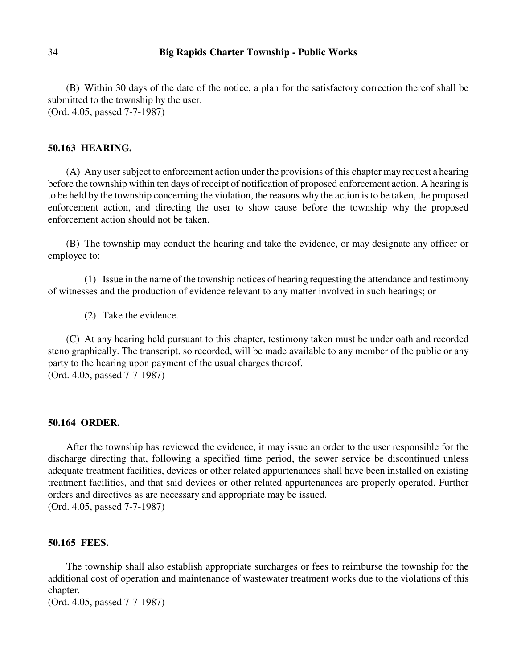(B) Within 30 days of the date of the notice, a plan for the satisfactory correction thereof shall be submitted to the township by the user. (Ord. 4.05, passed 7-7-1987)

### **50.163 HEARING.**

(A) Any user subject to enforcement action under the provisions of this chapter may request a hearing before the township within ten days of receipt of notification of proposed enforcement action. A hearing is to be held by the township concerning the violation, the reasons why the action is to be taken, the proposed enforcement action, and directing the user to show cause before the township why the proposed enforcement action should not be taken.

(B) The township may conduct the hearing and take the evidence, or may designate any officer or employee to:

(1) Issue in the name of the township notices of hearing requesting the attendance and testimony of witnesses and the production of evidence relevant to any matter involved in such hearings; or

(2) Take the evidence.

(C) At any hearing held pursuant to this chapter, testimony taken must be under oath and recorded steno graphically. The transcript, so recorded, will be made available to any member of the public or any party to the hearing upon payment of the usual charges thereof. (Ord. 4.05, passed 7-7-1987)

#### **50.164 ORDER.**

After the township has reviewed the evidence, it may issue an order to the user responsible for the discharge directing that, following a specified time period, the sewer service be discontinued unless adequate treatment facilities, devices or other related appurtenances shall have been installed on existing treatment facilities, and that said devices or other related appurtenances are properly operated. Further orders and directives as are necessary and appropriate may be issued. (Ord. 4.05, passed 7-7-1987)

#### **50.165 FEES.**

The township shall also establish appropriate surcharges or fees to reimburse the township for the additional cost of operation and maintenance of wastewater treatment works due to the violations of this chapter.

(Ord. 4.05, passed 7-7-1987)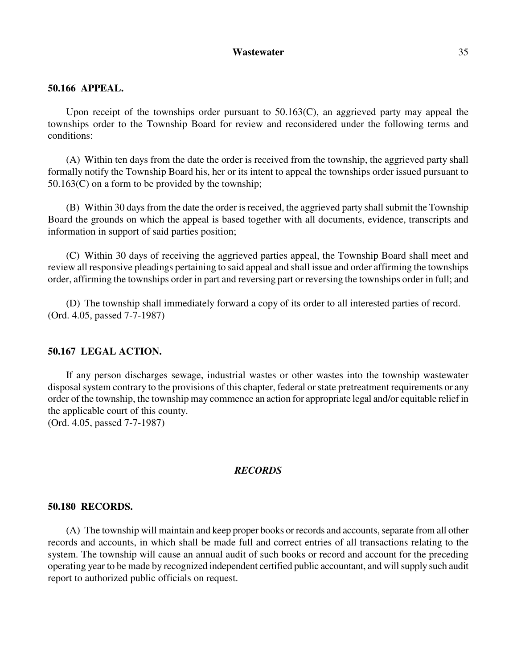# **50.166 APPEAL.**

Upon receipt of the townships order pursuant to 50.163(C), an aggrieved party may appeal the townships order to the Township Board for review and reconsidered under the following terms and conditions:

(A) Within ten days from the date the order is received from the township, the aggrieved party shall formally notify the Township Board his, her or its intent to appeal the townships order issued pursuant to  $50.163(C)$  on a form to be provided by the township;

(B) Within 30 days from the date the order is received, the aggrieved party shall submit the Township Board the grounds on which the appeal is based together with all documents, evidence, transcripts and information in support of said parties position;

(C) Within 30 days of receiving the aggrieved parties appeal, the Township Board shall meet and review all responsive pleadings pertaining to said appeal and shall issue and order affirming the townships order, affirming the townships order in part and reversing part or reversing the townships order in full; and

(D) The township shall immediately forward a copy of its order to all interested parties of record. (Ord. 4.05, passed 7-7-1987)

#### **50.167 LEGAL ACTION.**

If any person discharges sewage, industrial wastes or other wastes into the township wastewater disposal system contrary to the provisions of this chapter, federal or state pretreatment requirements or any order of the township, the township may commence an action for appropriate legal and/or equitable relief in the applicable court of this county.

(Ord. 4.05, passed 7-7-1987)

### *RECORDS*

#### **50.180 RECORDS.**

(A) The township will maintain and keep proper books or records and accounts, separate from all other records and accounts, in which shall be made full and correct entries of all transactions relating to the system. The township will cause an annual audit of such books or record and account for the preceding operating year to be made by recognized independent certified public accountant, and will supply such audit report to authorized public officials on request.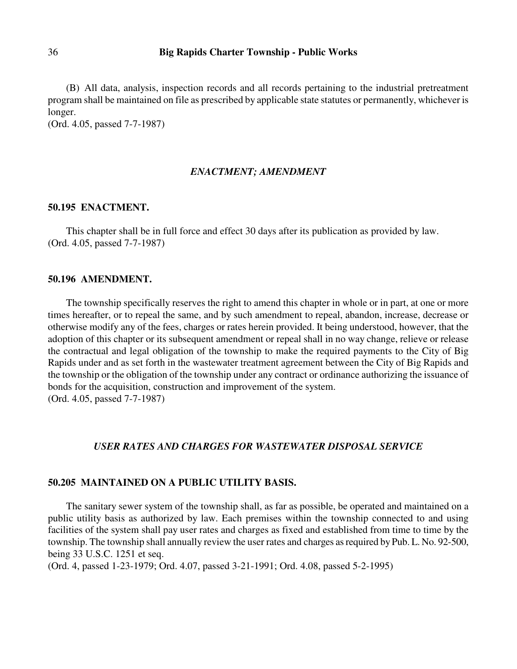(B) All data, analysis, inspection records and all records pertaining to the industrial pretreatment program shall be maintained on file as prescribed by applicable state statutes or permanently, whichever is longer.

(Ord. 4.05, passed 7-7-1987)

### *ENACTMENT; AMENDMENT*

#### **50.195 ENACTMENT.**

This chapter shall be in full force and effect 30 days after its publication as provided by law. (Ord. 4.05, passed 7-7-1987)

#### **50.196 AMENDMENT.**

The township specifically reserves the right to amend this chapter in whole or in part, at one or more times hereafter, or to repeal the same, and by such amendment to repeal, abandon, increase, decrease or otherwise modify any of the fees, charges or rates herein provided. It being understood, however, that the adoption of this chapter or its subsequent amendment or repeal shall in no way change, relieve or release the contractual and legal obligation of the township to make the required payments to the City of Big Rapids under and as set forth in the wastewater treatment agreement between the City of Big Rapids and the township or the obligation of the township under any contract or ordinance authorizing the issuance of bonds for the acquisition, construction and improvement of the system. (Ord. 4.05, passed 7-7-1987)

#### *USER RATES AND CHARGES FOR WASTEWATER DISPOSAL SERVICE*

#### **50.205 MAINTAINED ON A PUBLIC UTILITY BASIS.**

The sanitary sewer system of the township shall, as far as possible, be operated and maintained on a public utility basis as authorized by law. Each premises within the township connected to and using facilities of the system shall pay user rates and charges as fixed and established from time to time by the township. The township shall annually review the user rates and charges as required by Pub. L. No. 92-500, being 33 U.S.C. 1251 et seq.

(Ord. 4, passed 1-23-1979; Ord. 4.07, passed 3-21-1991; Ord. 4.08, passed 5-2-1995)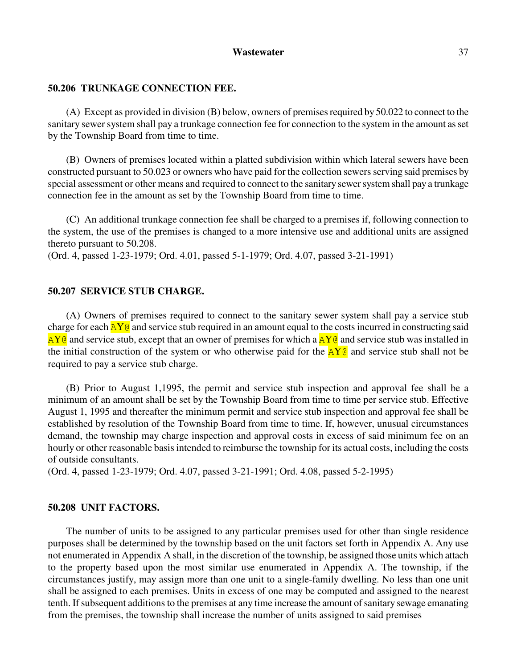### **50.206 TRUNKAGE CONNECTION FEE.**

(A) Except as provided in division (B) below, owners of premises required by 50.022 to connect to the sanitary sewer system shall pay a trunkage connection fee for connection to the system in the amount as set by the Township Board from time to time.

(B) Owners of premises located within a platted subdivision within which lateral sewers have been constructed pursuant to 50.023 or owners who have paid for the collection sewers serving said premises by special assessment or other means and required to connect to the sanitary sewer system shall pay a trunkage connection fee in the amount as set by the Township Board from time to time.

(C) An additional trunkage connection fee shall be charged to a premises if, following connection to the system, the use of the premises is changed to a more intensive use and additional units are assigned thereto pursuant to 50.208.

(Ord. 4, passed 1-23-1979; Ord. 4.01, passed 5-1-1979; Ord. 4.07, passed 3-21-1991)

#### **50.207 SERVICE STUB CHARGE.**

(A) Owners of premises required to connect to the sanitary sewer system shall pay a service stub charge for each  $AY@$  and service stub required in an amount equal to the costs incurred in constructing said  $\overline{AY}$  and service stub, except that an owner of premises for which a  $\overline{AY}$  and service stub was installed in the initial construction of the system or who otherwise paid for the  $\Delta Y \odot$  and service stub shall not be required to pay a service stub charge.

(B) Prior to August 1,1995, the permit and service stub inspection and approval fee shall be a minimum of an amount shall be set by the Township Board from time to time per service stub. Effective August 1, 1995 and thereafter the minimum permit and service stub inspection and approval fee shall be established by resolution of the Township Board from time to time. If, however, unusual circumstances demand, the township may charge inspection and approval costs in excess of said minimum fee on an hourly or other reasonable basis intended to reimburse the township for its actual costs, including the costs of outside consultants.

(Ord. 4, passed 1-23-1979; Ord. 4.07, passed 3-21-1991; Ord. 4.08, passed 5-2-1995)

#### **50.208 UNIT FACTORS.**

The number of units to be assigned to any particular premises used for other than single residence purposes shall be determined by the township based on the unit factors set forth in Appendix A. Any use not enumerated in Appendix A shall, in the discretion of the township, be assigned those units which attach to the property based upon the most similar use enumerated in Appendix A. The township, if the circumstances justify, may assign more than one unit to a single-family dwelling. No less than one unit shall be assigned to each premises. Units in excess of one may be computed and assigned to the nearest tenth. If subsequent additions to the premises at any time increase the amount of sanitary sewage emanating from the premises, the township shall increase the number of units assigned to said premises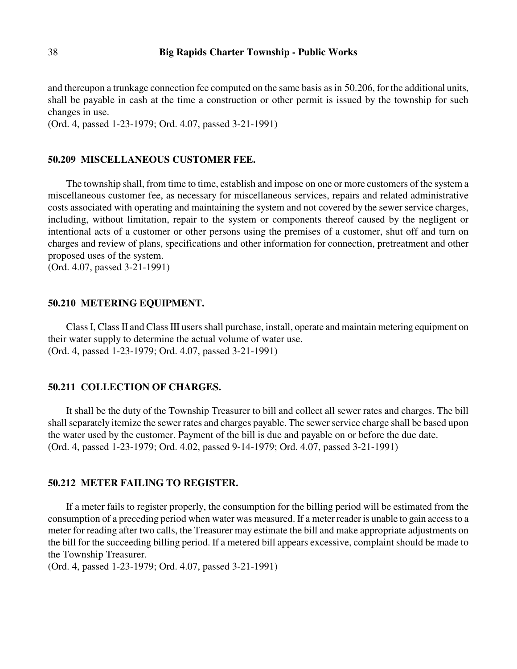and thereupon a trunkage connection fee computed on the same basis as in 50.206, for the additional units, shall be payable in cash at the time a construction or other permit is issued by the township for such changes in use.

(Ord. 4, passed 1-23-1979; Ord. 4.07, passed 3-21-1991)

### **50.209 MISCELLANEOUS CUSTOMER FEE.**

The township shall, from time to time, establish and impose on one or more customers of the system a miscellaneous customer fee, as necessary for miscellaneous services, repairs and related administrative costs associated with operating and maintaining the system and not covered by the sewer service charges, including, without limitation, repair to the system or components thereof caused by the negligent or intentional acts of a customer or other persons using the premises of a customer, shut off and turn on charges and review of plans, specifications and other information for connection, pretreatment and other proposed uses of the system.

(Ord. 4.07, passed 3-21-1991)

#### **50.210 METERING EQUIPMENT.**

Class I, Class II and Class III users shall purchase, install, operate and maintain metering equipment on their water supply to determine the actual volume of water use. (Ord. 4, passed 1-23-1979; Ord. 4.07, passed 3-21-1991)

#### **50.211 COLLECTION OF CHARGES.**

It shall be the duty of the Township Treasurer to bill and collect all sewer rates and charges. The bill shall separately itemize the sewer rates and charges payable. The sewer service charge shall be based upon the water used by the customer. Payment of the bill is due and payable on or before the due date. (Ord. 4, passed 1-23-1979; Ord. 4.02, passed 9-14-1979; Ord. 4.07, passed 3-21-1991)

# **50.212 METER FAILING TO REGISTER.**

If a meter fails to register properly, the consumption for the billing period will be estimated from the consumption of a preceding period when water was measured. If a meter reader is unable to gain access to a meter for reading after two calls, the Treasurer may estimate the bill and make appropriate adjustments on the bill for the succeeding billing period. If a metered bill appears excessive, complaint should be made to the Township Treasurer.

(Ord. 4, passed 1-23-1979; Ord. 4.07, passed 3-21-1991)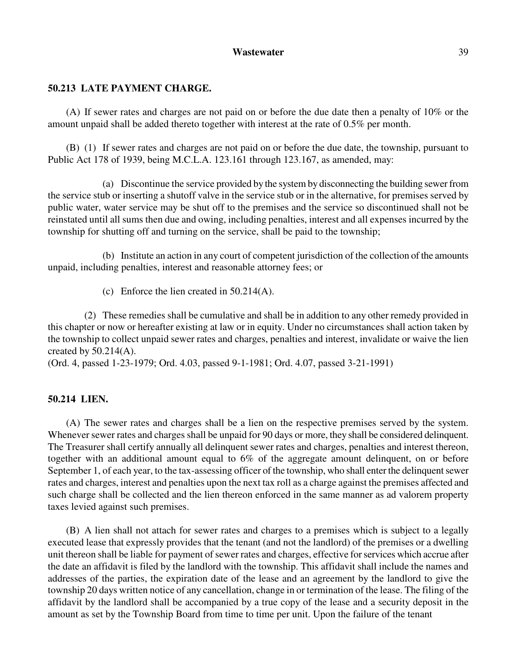### **50.213 LATE PAYMENT CHARGE.**

(A) If sewer rates and charges are not paid on or before the due date then a penalty of 10% or the amount unpaid shall be added thereto together with interest at the rate of 0.5% per month.

(B) (1) If sewer rates and charges are not paid on or before the due date, the township, pursuant to Public Act 178 of 1939, being M.C.L.A. 123.161 through 123.167, as amended, may:

(a) Discontinue the service provided by the system by disconnecting the building sewer from the service stub or inserting a shutoff valve in the service stub or in the alternative, for premises served by public water, water service may be shut off to the premises and the service so discontinued shall not be reinstated until all sums then due and owing, including penalties, interest and all expenses incurred by the township for shutting off and turning on the service, shall be paid to the township;

(b) Institute an action in any court of competent jurisdiction of the collection of the amounts unpaid, including penalties, interest and reasonable attorney fees; or

(c) Enforce the lien created in 50.214(A).

(2) These remedies shall be cumulative and shall be in addition to any other remedy provided in this chapter or now or hereafter existing at law or in equity. Under no circumstances shall action taken by the township to collect unpaid sewer rates and charges, penalties and interest, invalidate or waive the lien created by  $50.214(A)$ .

(Ord. 4, passed 1-23-1979; Ord. 4.03, passed 9-1-1981; Ord. 4.07, passed 3-21-1991)

#### **50.214 LIEN.**

(A) The sewer rates and charges shall be a lien on the respective premises served by the system. Whenever sewer rates and charges shall be unpaid for 90 days or more, they shall be considered delinquent. The Treasurer shall certify annually all delinquent sewer rates and charges, penalties and interest thereon, together with an additional amount equal to 6% of the aggregate amount delinquent, on or before September 1, of each year, to the tax-assessing officer of the township, who shall enter the delinquent sewer rates and charges, interest and penalties upon the next tax roll as a charge against the premises affected and such charge shall be collected and the lien thereon enforced in the same manner as ad valorem property taxes levied against such premises.

(B) A lien shall not attach for sewer rates and charges to a premises which is subject to a legally executed lease that expressly provides that the tenant (and not the landlord) of the premises or a dwelling unit thereon shall be liable for payment of sewer rates and charges, effective for services which accrue after the date an affidavit is filed by the landlord with the township. This affidavit shall include the names and addresses of the parties, the expiration date of the lease and an agreement by the landlord to give the township 20 days written notice of any cancellation, change in or termination of the lease. The filing of the affidavit by the landlord shall be accompanied by a true copy of the lease and a security deposit in the amount as set by the Township Board from time to time per unit. Upon the failure of the tenant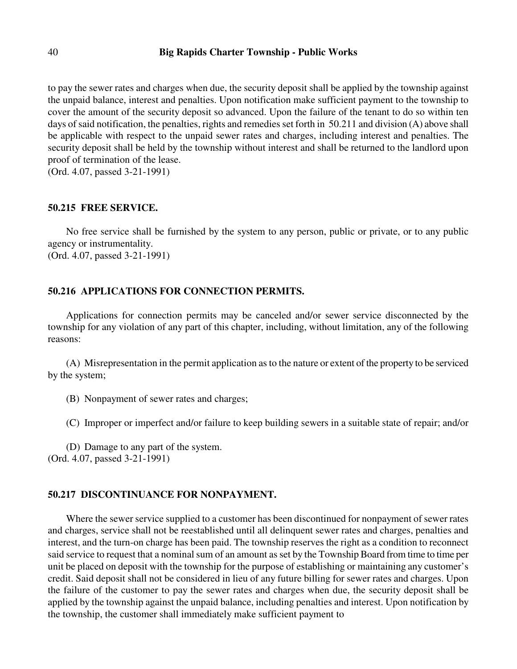to pay the sewer rates and charges when due, the security deposit shall be applied by the township against the unpaid balance, interest and penalties. Upon notification make sufficient payment to the township to cover the amount of the security deposit so advanced. Upon the failure of the tenant to do so within ten days of said notification, the penalties, rights and remedies set forth in 50.211 and division (A) above shall be applicable with respect to the unpaid sewer rates and charges, including interest and penalties. The security deposit shall be held by the township without interest and shall be returned to the landlord upon proof of termination of the lease.

(Ord. 4.07, passed 3-21-1991)

#### **50.215 FREE SERVICE.**

No free service shall be furnished by the system to any person, public or private, or to any public agency or instrumentality. (Ord. 4.07, passed 3-21-1991)

#### **50.216 APPLICATIONS FOR CONNECTION PERMITS.**

Applications for connection permits may be canceled and/or sewer service disconnected by the township for any violation of any part of this chapter, including, without limitation, any of the following reasons:

(A) Misrepresentation in the permit application as to the nature or extent of the property to be serviced by the system;

- (B) Nonpayment of sewer rates and charges;
- (C) Improper or imperfect and/or failure to keep building sewers in a suitable state of repair; and/or

(D) Damage to any part of the system. (Ord. 4.07, passed 3-21-1991)

# **50.217 DISCONTINUANCE FOR NONPAYMENT.**

Where the sewer service supplied to a customer has been discontinued for nonpayment of sewer rates and charges, service shall not be reestablished until all delinquent sewer rates and charges, penalties and interest, and the turn-on charge has been paid. The township reserves the right as a condition to reconnect said service to request that a nominal sum of an amount as set by the Township Board from time to time per unit be placed on deposit with the township for the purpose of establishing or maintaining any customer's credit. Said deposit shall not be considered in lieu of any future billing for sewer rates and charges. Upon the failure of the customer to pay the sewer rates and charges when due, the security deposit shall be applied by the township against the unpaid balance, including penalties and interest. Upon notification by the township, the customer shall immediately make sufficient payment to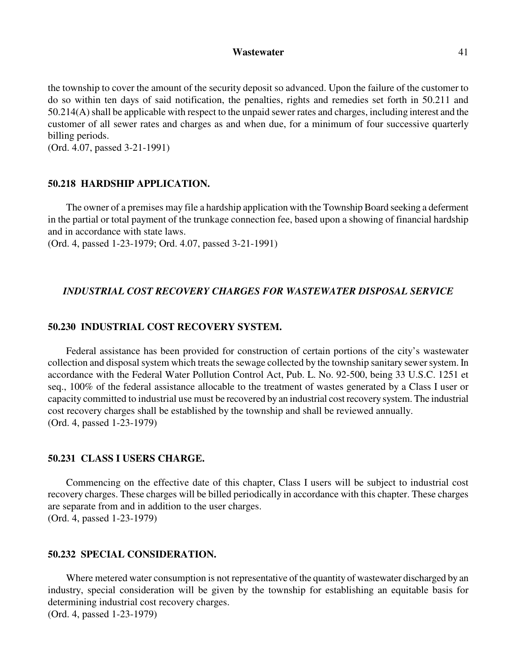the township to cover the amount of the security deposit so advanced. Upon the failure of the customer to do so within ten days of said notification, the penalties, rights and remedies set forth in 50.211 and 50.214(A) shall be applicable with respect to the unpaid sewer rates and charges, including interest and the customer of all sewer rates and charges as and when due, for a minimum of four successive quarterly billing periods.

(Ord. 4.07, passed 3-21-1991)

#### **50.218 HARDSHIP APPLICATION.**

The owner of a premises may file a hardship application with the Township Board seeking a deferment in the partial or total payment of the trunkage connection fee, based upon a showing of financial hardship and in accordance with state laws.

(Ord. 4, passed 1-23-1979; Ord. 4.07, passed 3-21-1991)

#### *INDUSTRIAL COST RECOVERY CHARGES FOR WASTEWATER DISPOSAL SERVICE*

### **50.230 INDUSTRIAL COST RECOVERY SYSTEM.**

Federal assistance has been provided for construction of certain portions of the city's wastewater collection and disposal system which treats the sewage collected by the township sanitary sewer system. In accordance with the Federal Water Pollution Control Act, Pub. L. No. 92-500, being 33 U.S.C. 1251 et seq., 100% of the federal assistance allocable to the treatment of wastes generated by a Class I user or capacity committed to industrial use must be recovered by an industrial cost recovery system. The industrial cost recovery charges shall be established by the township and shall be reviewed annually. (Ord. 4, passed 1-23-1979)

#### **50.231 CLASS I USERS CHARGE.**

Commencing on the effective date of this chapter, Class I users will be subject to industrial cost recovery charges. These charges will be billed periodically in accordance with this chapter. These charges are separate from and in addition to the user charges. (Ord. 4, passed 1-23-1979)

# **50.232 SPECIAL CONSIDERATION.**

Where metered water consumption is not representative of the quantity of wastewater discharged by an industry, special consideration will be given by the township for establishing an equitable basis for determining industrial cost recovery charges. (Ord. 4, passed 1-23-1979)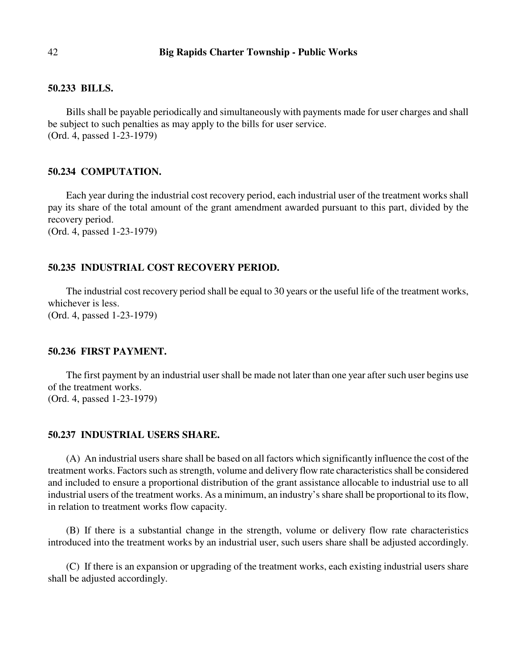### **50.233 BILLS.**

Bills shall be payable periodically and simultaneously with payments made for user charges and shall be subject to such penalties as may apply to the bills for user service. (Ord. 4, passed 1-23-1979)

# **50.234 COMPUTATION.**

Each year during the industrial cost recovery period, each industrial user of the treatment works shall pay its share of the total amount of the grant amendment awarded pursuant to this part, divided by the recovery period.

(Ord. 4, passed 1-23-1979)

# **50.235 INDUSTRIAL COST RECOVERY PERIOD.**

The industrial cost recovery period shall be equal to 30 years or the useful life of the treatment works, whichever is less. (Ord. 4, passed 1-23-1979)

### **50.236 FIRST PAYMENT.**

The first payment by an industrial user shall be made not later than one year after such user begins use of the treatment works. (Ord. 4, passed 1-23-1979)

### **50.237 INDUSTRIAL USERS SHARE.**

(A) An industrial users share shall be based on all factors which significantly influence the cost of the treatment works. Factors such as strength, volume and delivery flow rate characteristics shall be considered and included to ensure a proportional distribution of the grant assistance allocable to industrial use to all industrial users of the treatment works. As a minimum, an industry's share shall be proportional to its flow, in relation to treatment works flow capacity.

(B) If there is a substantial change in the strength, volume or delivery flow rate characteristics introduced into the treatment works by an industrial user, such users share shall be adjusted accordingly.

(C) If there is an expansion or upgrading of the treatment works, each existing industrial users share shall be adjusted accordingly.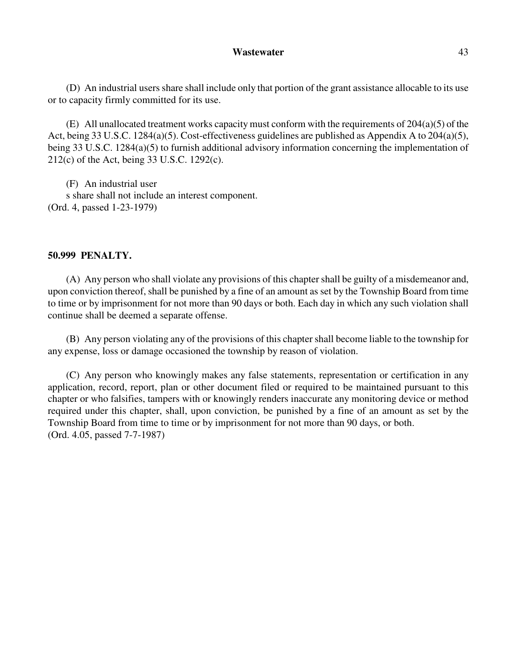(D) An industrial users share shall include only that portion of the grant assistance allocable to its use or to capacity firmly committed for its use.

(E) All unallocated treatment works capacity must conform with the requirements of  $204(a)(5)$  of the Act, being 33 U.S.C. 1284(a)(5). Cost-effectiveness guidelines are published as Appendix A to 204(a)(5), being 33 U.S.C. 1284(a)(5) to furnish additional advisory information concerning the implementation of 212(c) of the Act, being 33 U.S.C. 1292(c).

(F) An industrial user s share shall not include an interest component. (Ord. 4, passed 1-23-1979)

### **50.999 PENALTY.**

(A) Any person who shall violate any provisions of this chapter shall be guilty of a misdemeanor and, upon conviction thereof, shall be punished by a fine of an amount as set by the Township Board from time to time or by imprisonment for not more than 90 days or both. Each day in which any such violation shall continue shall be deemed a separate offense.

(B) Any person violating any of the provisions of this chapter shall become liable to the township for any expense, loss or damage occasioned the township by reason of violation.

(C) Any person who knowingly makes any false statements, representation or certification in any application, record, report, plan or other document filed or required to be maintained pursuant to this chapter or who falsifies, tampers with or knowingly renders inaccurate any monitoring device or method required under this chapter, shall, upon conviction, be punished by a fine of an amount as set by the Township Board from time to time or by imprisonment for not more than 90 days, or both. (Ord. 4.05, passed 7-7-1987)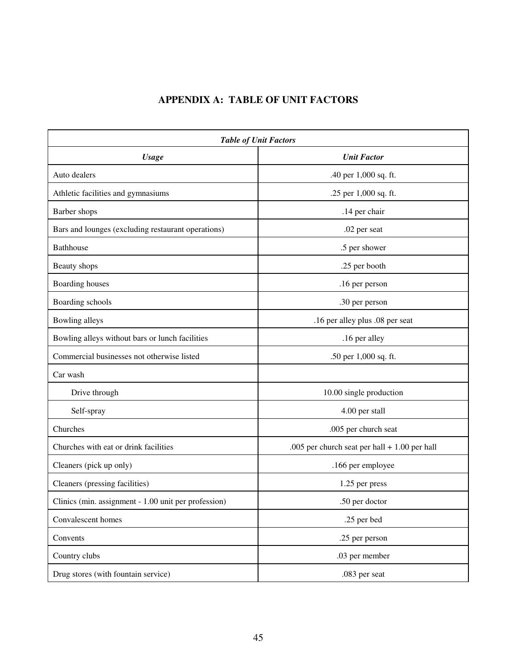# **APPENDIX A: TABLE OF UNIT FACTORS**

| <b>Table of Unit Factors</b>                         |                                                 |  |
|------------------------------------------------------|-------------------------------------------------|--|
| <b>Usage</b>                                         | <b>Unit Factor</b>                              |  |
| Auto dealers                                         | .40 per 1,000 sq. ft.                           |  |
| Athletic facilities and gymnasiums                   | .25 per 1,000 sq. ft.                           |  |
| Barber shops                                         | .14 per chair                                   |  |
| Bars and lounges (excluding restaurant operations)   | .02 per seat                                    |  |
| Bathhouse                                            | .5 per shower                                   |  |
| Beauty shops                                         | .25 per booth                                   |  |
| Boarding houses                                      | .16 per person                                  |  |
| Boarding schools                                     | .30 per person                                  |  |
| Bowling alleys                                       | .16 per alley plus .08 per seat                 |  |
| Bowling alleys without bars or lunch facilities      | .16 per alley                                   |  |
| Commercial businesses not otherwise listed           | .50 per 1,000 sq. ft.                           |  |
| Car wash                                             |                                                 |  |
| Drive through                                        | 10.00 single production                         |  |
| Self-spray                                           | 4.00 per stall                                  |  |
| Churches                                             | .005 per church seat                            |  |
| Churches with eat or drink facilities                | .005 per church seat per hall $+ 1.00$ per hall |  |
| Cleaners (pick up only)                              | .166 per employee                               |  |
| Cleaners (pressing facilities)                       | 1.25 per press                                  |  |
| Clinics (min. assignment - 1.00 unit per profession) | .50 per doctor                                  |  |
| Convalescent homes                                   | .25 per bed                                     |  |
| Convents                                             | .25 per person                                  |  |
| Country clubs                                        | .03 per member                                  |  |
| Drug stores (with fountain service)                  | .083 per seat                                   |  |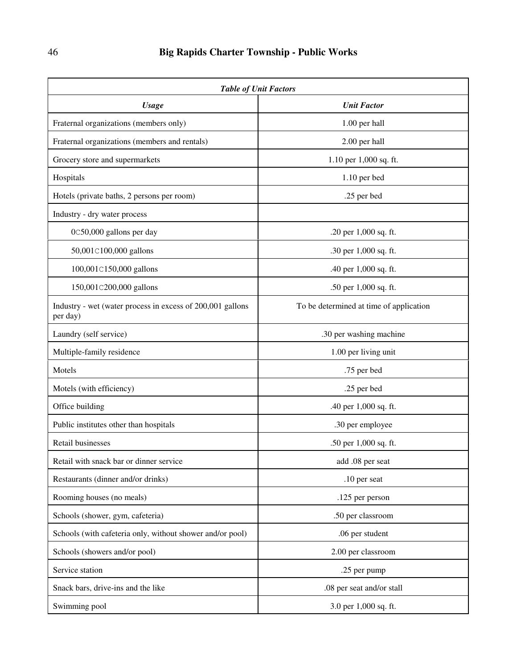| <b>Table of Unit Factors</b>                                           |                                         |  |
|------------------------------------------------------------------------|-----------------------------------------|--|
| <b>Usage</b>                                                           | <b>Unit Factor</b>                      |  |
| Fraternal organizations (members only)                                 | 1.00 per hall                           |  |
| Fraternal organizations (members and rentals)                          | 2.00 per hall                           |  |
| Grocery store and supermarkets                                         | 1.10 per 1,000 sq. ft.                  |  |
| Hospitals                                                              | 1.10 per bed                            |  |
| Hotels (private baths, 2 persons per room)                             | .25 per bed                             |  |
| Industry - dry water process                                           |                                         |  |
| 0C50,000 gallons per day                                               | .20 per 1,000 sq. ft.                   |  |
| 50,001C100,000 gallons                                                 | .30 per 1,000 sq. ft.                   |  |
| 100,001C150,000 gallons                                                | .40 per 1,000 sq. ft.                   |  |
| 150,001C200,000 gallons                                                | .50 per 1,000 sq. ft.                   |  |
| Industry - wet (water process in excess of 200,001 gallons<br>per day) | To be determined at time of application |  |
| Laundry (self service)                                                 | .30 per washing machine                 |  |
| Multiple-family residence                                              | 1.00 per living unit                    |  |
| Motels                                                                 | .75 per bed                             |  |
| Motels (with efficiency)                                               | .25 per bed                             |  |
| Office building                                                        | .40 per 1,000 sq. ft.                   |  |
| Public institutes other than hospitals                                 | .30 per employee                        |  |
| <b>Retail businesses</b>                                               | .50 per 1,000 sq. ft.                   |  |
| Retail with snack bar or dinner service                                | add .08 per seat                        |  |
| Restaurants (dinner and/or drinks)                                     | .10 per seat                            |  |
| Rooming houses (no meals)                                              | .125 per person                         |  |
| Schools (shower, gym, cafeteria)                                       | .50 per classroom                       |  |
| Schools (with cafeteria only, without shower and/or pool)              | .06 per student                         |  |
| Schools (showers and/or pool)                                          | 2.00 per classroom                      |  |
| Service station                                                        | .25 per pump                            |  |
| Snack bars, drive-ins and the like                                     | .08 per seat and/or stall               |  |
| Swimming pool                                                          | 3.0 per 1,000 sq. ft.                   |  |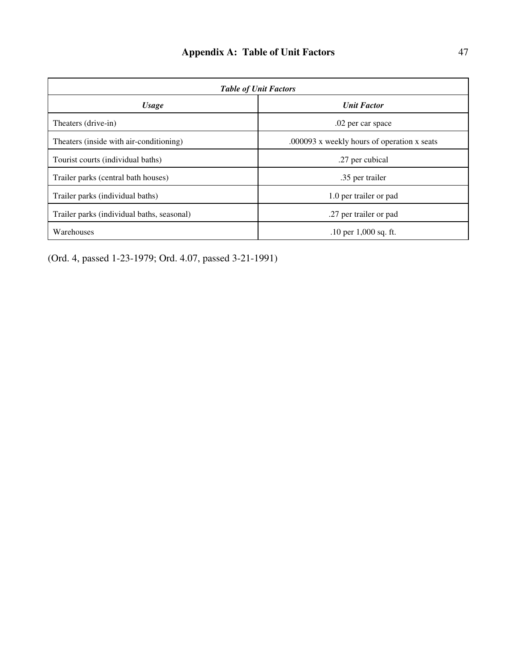| <b>Table of Unit Factors</b>               |                                             |  |
|--------------------------------------------|---------------------------------------------|--|
| <b>Usage</b>                               | <b>Unit Factor</b>                          |  |
| Theaters (drive-in)                        | .02 per car space                           |  |
| Theaters (inside with air-conditioning)    | .000093 x weekly hours of operation x seats |  |
| Tourist courts (individual baths)          | .27 per cubical                             |  |
| Trailer parks (central bath houses)        | .35 per trailer                             |  |
| Trailer parks (individual baths)           | 1.0 per trailer or pad                      |  |
| Trailer parks (individual baths, seasonal) | .27 per trailer or pad                      |  |
| Warehouses                                 | $.10$ per $1,000$ sq. ft.                   |  |

(Ord. 4, passed 1-23-1979; Ord. 4.07, passed 3-21-1991)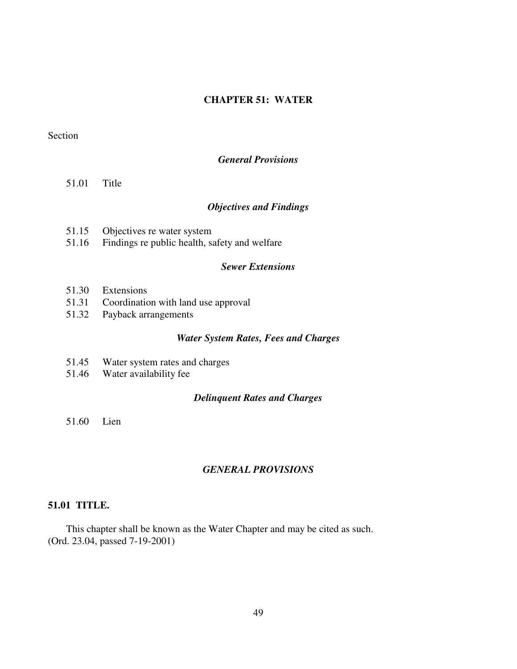# **CHAPTER 51: WATER**

# Section

# *General Provisions*

51.01 Title

# *Objectives and Findings*

- 51.15 Objectives re water system<br>51.16 Findings re public health, so
- Findings re public health, safety and welfare

# *Sewer Extensions*

- 51.30 Extensions
- 51.31 Coordination with land use approval
- 51.32 Payback arrangements

### *Water System Rates, Fees and Charges*

- 51.45 Water system rates and charges
- 51.46 Water availability fee

#### *Delinquent Rates and Charges*

51.60 Lien

# *GENERAL PROVISIONS*

### **51.01 TITLE.**

This chapter shall be known as the Water Chapter and may be cited as such. (Ord. 23.04, passed 7-19-2001)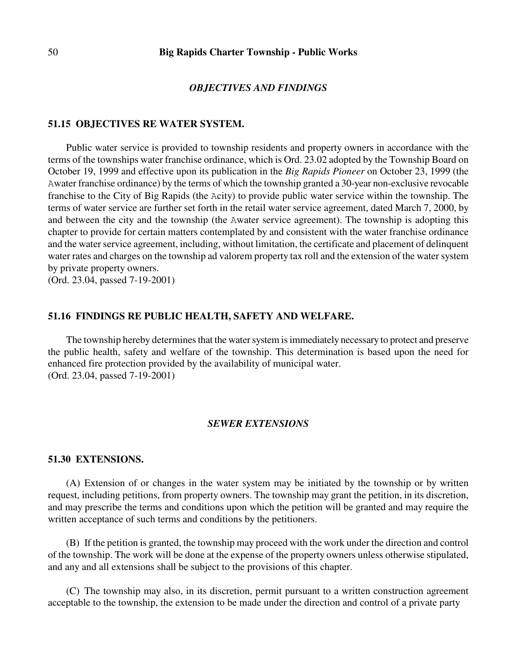#### *OBJECTIVES AND FINDINGS*

#### **51.15 OBJECTIVES RE WATER SYSTEM.**

Public water service is provided to township residents and property owners in accordance with the terms of the townships water franchise ordinance, which is Ord. 23.02 adopted by the Township Board on October 19, 1999 and effective upon its publication in the *Big Rapids Pioneer* on October 23, 1999 (the Awater franchise ordinance) by the terms of which the township granted a 30-year non-exclusive revocable franchise to the City of Big Rapids (the Acity) to provide public water service within the township. The terms of water service are further set forth in the retail water service agreement, dated March 7, 2000, by and between the city and the township (the Awater service agreement). The township is adopting this chapter to provide for certain matters contemplated by and consistent with the water franchise ordinance and the water service agreement, including, without limitation, the certificate and placement of delinquent water rates and charges on the township ad valorem property tax roll and the extension of the water system by private property owners.

(Ord. 23.04, passed 7-19-2001)

### **51.16 FINDINGS RE PUBLIC HEALTH, SAFETY AND WELFARE.**

The township hereby determines that the water system is immediately necessary to protect and preserve the public health, safety and welfare of the township. This determination is based upon the need for enhanced fire protection provided by the availability of municipal water. (Ord. 23.04, passed 7-19-2001)

### *SEWER EXTENSIONS*

#### **51.30 EXTENSIONS.**

(A) Extension of or changes in the water system may be initiated by the township or by written request, including petitions, from property owners. The township may grant the petition, in its discretion, and may prescribe the terms and conditions upon which the petition will be granted and may require the written acceptance of such terms and conditions by the petitioners.

(B) If the petition is granted, the township may proceed with the work under the direction and control of the township. The work will be done at the expense of the property owners unless otherwise stipulated, and any and all extensions shall be subject to the provisions of this chapter.

(C) The township may also, in its discretion, permit pursuant to a written construction agreement acceptable to the township, the extension to be made under the direction and control of a private party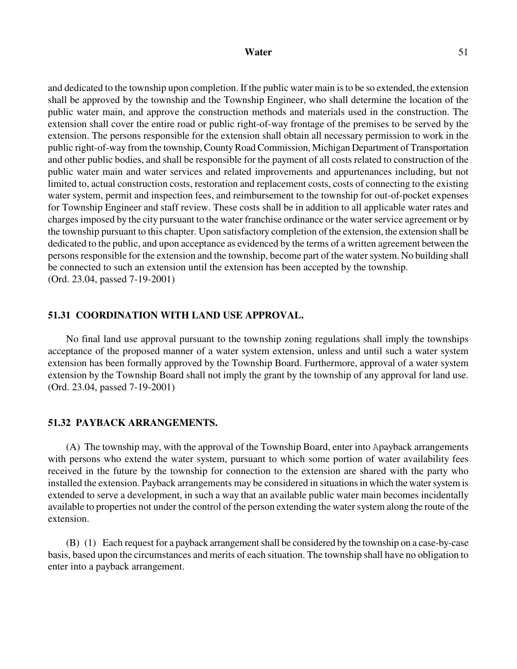#### Water 51

and dedicated to the township upon completion. If the public water main is to be so extended, the extension shall be approved by the township and the Township Engineer, who shall determine the location of the public water main, and approve the construction methods and materials used in the construction. The extension shall cover the entire road or public right-of-way frontage of the premises to be served by the extension. The persons responsible for the extension shall obtain all necessary permission to work in the public right-of-way from the township, County Road Commission, Michigan Department of Transportation and other public bodies, and shall be responsible for the payment of all costs related to construction of the public water main and water services and related improvements and appurtenances including, but not limited to, actual construction costs, restoration and replacement costs, costs of connecting to the existing water system, permit and inspection fees, and reimbursement to the township for out-of-pocket expenses for Township Engineer and staff review. These costs shall be in addition to all applicable water rates and charges imposed by the city pursuant to the water franchise ordinance or the water service agreement or by the township pursuant to this chapter. Upon satisfactory completion of the extension, the extension shall be dedicated to the public, and upon acceptance as evidenced by the terms of a written agreement between the persons responsible for the extension and the township, become part of the water system. No building shall be connected to such an extension until the extension has been accepted by the township. (Ord. 23.04, passed 7-19-2001)

### **51.31 COORDINATION WITH LAND USE APPROVAL.**

No final land use approval pursuant to the township zoning regulations shall imply the townships acceptance of the proposed manner of a water system extension, unless and until such a water system extension has been formally approved by the Township Board. Furthermore, approval of a water system extension by the Township Board shall not imply the grant by the township of any approval for land use. (Ord. 23.04, passed 7-19-2001)

# **51.32 PAYBACK ARRANGEMENTS.**

(A) The township may, with the approval of the Township Board, enter into Apayback arrangements with persons who extend the water system, pursuant to which some portion of water availability fees received in the future by the township for connection to the extension are shared with the party who installed the extension. Payback arrangements may be considered in situations in which the water system is extended to serve a development, in such a way that an available public water main becomes incidentally available to properties not under the control of the person extending the water system along the route of the extension.

(B) (1) Each request for a payback arrangement shall be considered by the township on a case-by-case basis, based upon the circumstances and merits of each situation. The township shall have no obligation to enter into a payback arrangement.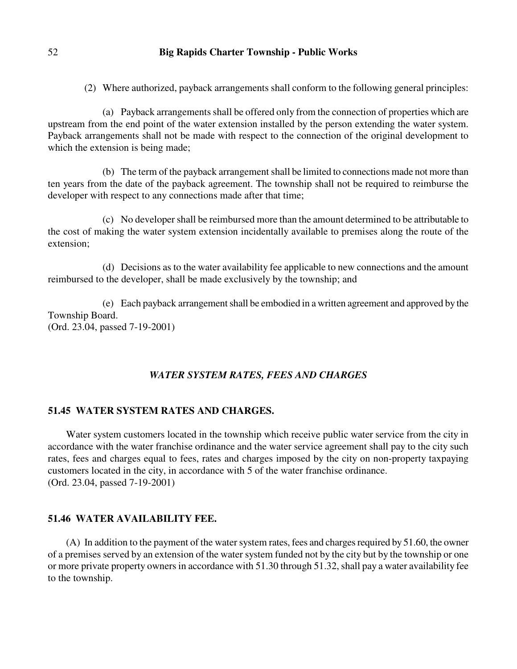(2) Where authorized, payback arrangements shall conform to the following general principles:

(a) Payback arrangements shall be offered only from the connection of properties which are upstream from the end point of the water extension installed by the person extending the water system. Payback arrangements shall not be made with respect to the connection of the original development to which the extension is being made;

(b) The term of the payback arrangement shall be limited to connections made not more than ten years from the date of the payback agreement. The township shall not be required to reimburse the developer with respect to any connections made after that time;

(c) No developer shall be reimbursed more than the amount determined to be attributable to the cost of making the water system extension incidentally available to premises along the route of the extension;

(d) Decisions as to the water availability fee applicable to new connections and the amount reimbursed to the developer, shall be made exclusively by the township; and

(e) Each payback arrangement shall be embodied in a written agreement and approved by the Township Board. (Ord. 23.04, passed 7-19-2001)

### *WATER SYSTEM RATES, FEES AND CHARGES*

# **51.45 WATER SYSTEM RATES AND CHARGES.**

Water system customers located in the township which receive public water service from the city in accordance with the water franchise ordinance and the water service agreement shall pay to the city such rates, fees and charges equal to fees, rates and charges imposed by the city on non-property taxpaying customers located in the city, in accordance with 5 of the water franchise ordinance. (Ord. 23.04, passed 7-19-2001)

#### **51.46 WATER AVAILABILITY FEE.**

(A) In addition to the payment of the water system rates, fees and charges required by 51.60, the owner of a premises served by an extension of the water system funded not by the city but by the township or one or more private property owners in accordance with 51.30 through 51.32, shall pay a water availability fee to the township.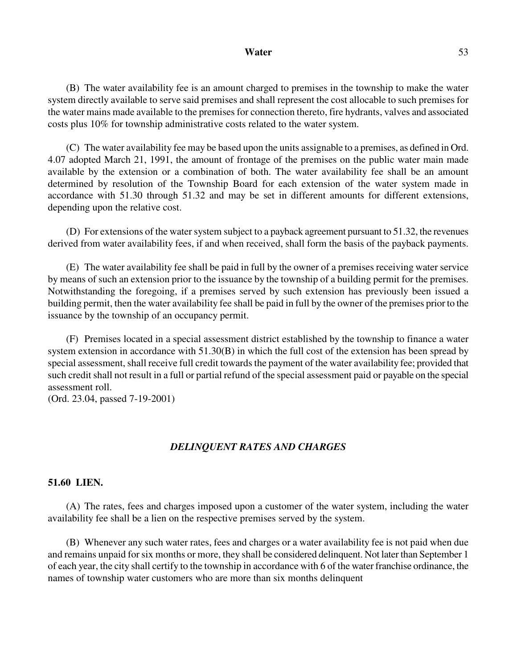### Water 53

(B) The water availability fee is an amount charged to premises in the township to make the water system directly available to serve said premises and shall represent the cost allocable to such premises for the water mains made available to the premises for connection thereto, fire hydrants, valves and associated costs plus 10% for township administrative costs related to the water system.

(C) The water availability fee may be based upon the units assignable to a premises, as defined in Ord. 4.07 adopted March 21, 1991, the amount of frontage of the premises on the public water main made available by the extension or a combination of both. The water availability fee shall be an amount determined by resolution of the Township Board for each extension of the water system made in accordance with 51.30 through 51.32 and may be set in different amounts for different extensions, depending upon the relative cost.

(D) For extensions of the water system subject to a payback agreement pursuant to 51.32, the revenues derived from water availability fees, if and when received, shall form the basis of the payback payments.

(E) The water availability fee shall be paid in full by the owner of a premises receiving water service by means of such an extension prior to the issuance by the township of a building permit for the premises. Notwithstanding the foregoing, if a premises served by such extension has previously been issued a building permit, then the water availability fee shall be paid in full by the owner of the premises prior to the issuance by the township of an occupancy permit.

(F) Premises located in a special assessment district established by the township to finance a water system extension in accordance with 51.30(B) in which the full cost of the extension has been spread by special assessment, shall receive full credit towards the payment of the water availability fee; provided that such credit shall not result in a full or partial refund of the special assessment paid or payable on the special assessment roll.

(Ord. 23.04, passed 7-19-2001)

### *DELINQUENT RATES AND CHARGES*

### **51.60 LIEN.**

(A) The rates, fees and charges imposed upon a customer of the water system, including the water availability fee shall be a lien on the respective premises served by the system.

(B) Whenever any such water rates, fees and charges or a water availability fee is not paid when due and remains unpaid for six months or more, they shall be considered delinquent. Not later than September 1 of each year, the city shall certify to the township in accordance with 6 of the water franchise ordinance, the names of township water customers who are more than six months delinquent